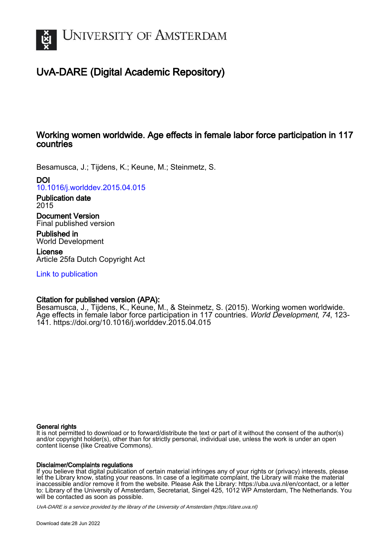

# UvA-DARE (Digital Academic Repository)

## Working women worldwide. Age effects in female labor force participation in 117 countries

Besamusca, J.; Tijdens, K.; Keune, M.; Steinmetz, S.

DOI

[10.1016/j.worlddev.2015.04.015](https://doi.org/10.1016/j.worlddev.2015.04.015)

Publication date 2015

Document Version Final published version

Published in World Development

License Article 25fa Dutch Copyright Act

[Link to publication](https://dare.uva.nl/personal/pure/en/publications/working-women-worldwide-age-effects-in-female-labor-force-participation-in-117-countries(babc1d69-9001-4412-bdeb-57925a2aa6e0).html)

## Citation for published version (APA):

Besamusca, J., Tijdens, K., Keune, M., & Steinmetz, S. (2015). Working women worldwide. Age effects in female labor force participation in 117 countries. World Development, 74, 123- 141. <https://doi.org/10.1016/j.worlddev.2015.04.015>

#### General rights

It is not permitted to download or to forward/distribute the text or part of it without the consent of the author(s) and/or copyright holder(s), other than for strictly personal, individual use, unless the work is under an open content license (like Creative Commons).

#### Disclaimer/Complaints regulations

If you believe that digital publication of certain material infringes any of your rights or (privacy) interests, please let the Library know, stating your reasons. In case of a legitimate complaint, the Library will make the material inaccessible and/or remove it from the website. Please Ask the Library: https://uba.uva.nl/en/contact, or a letter to: Library of the University of Amsterdam, Secretariat, Singel 425, 1012 WP Amsterdam, The Netherlands. You will be contacted as soon as possible.

UvA-DARE is a service provided by the library of the University of Amsterdam (http*s*://dare.uva.nl)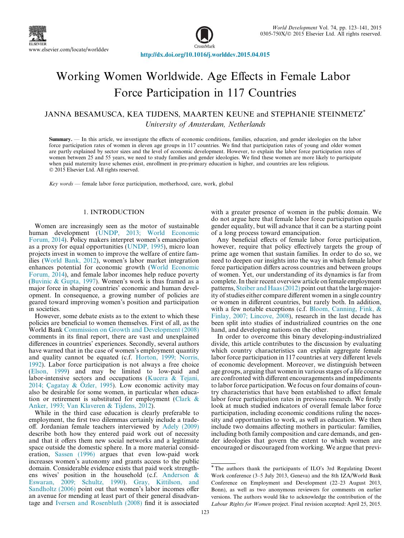## <http://dx.doi.org/10.1016/j.worlddev.2015.04.015>

# Working Women Worldwide. Age Effects in Female Labor Force Participation in 117 Countries

### JANNA BESAMUSCA, KEA TIJDENS, MAARTEN KEUNE and STEPHANIE STEINMETZ<sup>\*</sup> University of Amsterdam, Netherlands

Summary. — In this article, we investigate the effects of economic conditions, families, education, and gender ideologies on the labor force participation rates of women in eleven age groups in 117 countries. We find that participation rates of young and older women are partly explained by sector sizes and the level of economic development. However, to explain the labor force participation rates of women between 25 and 55 years, we need to study families and gender ideologies. We find these women are more likely to participate when paid maternity leave schemes exist, enrollment in pre-primary education is higher, and countries are less religious. © 2015 Elsevier Ltd. All rights reserved.

Key words — female labor force participation, motherhood, care, work, global

#### 1. INTRODUCTION

Women are increasingly seen as the motor of sustainable human development ([UNDP, 2013; World Economic](#page-16-0) [Forum, 2014\)](#page-16-0). Policy makers interpret women's emancipation as a proxy for equal opportunities ([UNDP, 1995](#page-16-0)), micro loan projects invest in women to improve the welfare of entire families [\(World Bank, 2012](#page-16-0)), women's labor market integration enhances potential for economic growth [\(World Economic](#page-16-0) [Forum, 2014](#page-16-0)), and female labor incomes help reduce poverty ([Buvinic & Gupta, 1997](#page-15-0)). Women's work is thus framed as a major force in shaping countries' economic and human development. In consequence, a growing number of policies are geared toward improving women's position and participation in societies.

However, some debate exists as to the extent to which these policies are beneficial to women themselves. First of all, as the World Bank [Commission on Growth and Development \(2008\)](#page-15-0) comments in its final report, there are vast and unexplained differences in countries' experiences. Secondly, several authors have warned that in the case of women's employment quantity and quality cannot be equated (c.f. [Horton, 1999; Norris,](#page-16-0) [1992](#page-16-0)). Labor force participation is not always a free choice ([Elson, 1999](#page-15-0)) and may be limited to low-paid and labor-intensive sectors and occupations ([Kucera & Tejani,](#page-16-0) 2014; Cagatay & Özler, 1995). Low economic activity may also be desirable for some women, in particular when education or retirement is substituted for employment ([Clark &](#page-15-0) [Anker, 1993; Van Klaveren & Tijdens, 2012](#page-15-0)).

While in the third case education is clearly preferable to employment, the first two dilemmas certainly include a tradeoff. Jordanian female teachers interviewed by [Adely \(2009\)](#page-15-0) describe both how they entered paid work out of necessity and that it offers them new social networks and a legitimate space outside the domestic sphere. In a more material consideration, [Sassen \(1996\)](#page-16-0) argues that even low-paid work increases women's autonomy and grants access to the public domain. Considerable evidence exists that paid work strengthens wives' position in the household (c.f. [Anderson &](#page-15-0) [Eswaran, 2009; Schultz, 1990\)](#page-15-0). [Gray, Kittilson, and](#page-15-0) [Sandholtz \(2006\)](#page-15-0) point out that women's labor incomes offer an avenue for mending at least part of their general disadvantage and [Iversen and Rosenbluth \(2008\)](#page-16-0) find it is associated with a greater presence of women in the public domain. We do not argue here that female labor force participation equals gender equality, but will advance that it can be a starting point of a long process toward emancipation.

Any beneficial effects of female labor force participation, however, require that policy effectively targets the group of prime age women that sustain families. In order to do so, we need to deepen our insights into the way in which female labor force participation differs across countries and between groups of women. Yet, our understanding of its dynamics is far from complete. In their recent overview article on female employment patterns, [Steiber and Haas \(2012\)](#page-16-0) point out that the large majority of studies either compare different women in a single country or women in different countries, but rarely both. In addition, with a few notable exceptions (c.f. [Bloom, Canning, Fink, &](#page-15-0) [Finlay, 2007; Lincove, 2008](#page-15-0)), research in the last decade has been split into studies of industrialized countries on the one hand, and developing nations on the other.

In order to overcome this binary developing-industrialized divide, this article contributes to the discussion by evaluating which country characteristics can explain aggregate female labor force participation in 117 countries at very different levels of economic development. Moreover, we distinguish between age groups, arguing that women in various stages of a life course are confronted with different encouragements and impediments to labor force participation. We focus on four domains of country characteristics that have been established to affect female labor force participation rates in previous research. We firstly look at much studied indicators of overall female labor force participation, including economic conditions ruling the necessity and opportunities to work, as well as education. We then include two domains affecting mothers in particular: families, including both family composition and care demands, and gender ideologies that govern the extent to which women are encouraged or discouraged from working. We argue that previ-

<sup>\*</sup>The authors thank the participants of ILO's 3rd Regulating Decent Work conference (3–5 July 2013, Geneva) and the 8th IZA/World Bank Conference on Employment and Development (22–23 August 2013, Bonn), as well as two anonymous reviewers for comments on earlier versions. The authors would like to acknowledge the contribution of the Labour Rights for Women project. Final revision accepted: April 25, 2015.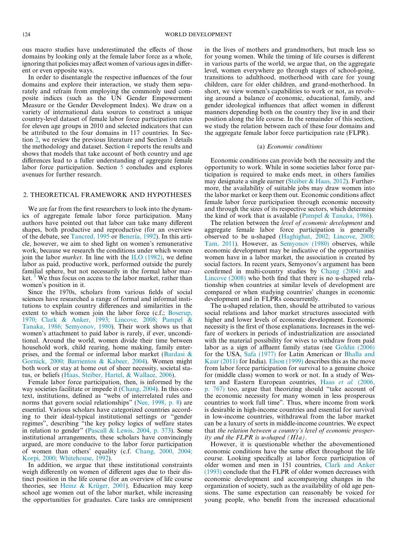ous macro studies have underestimated the effects of those domains by looking only at the female labor force as a whole, ignoring that policies may affect women of various ages in different or even opposite ways.

In order to disentangle the respective influences of the four domains and explore their interaction, we study them separately and refrain from employing the commonly used composite indices (such as the UN Gender Empowerment Measure or the Gender Development Index). We draw on a variety of international data sources to construct a unique country-level dataset of female labor force participation rates for eleven age groups in 2010 and selected indicators that can be attributed to the four domains in 117 countries. In Section 2, we review the previous literature and Section 3 details the methodology and dataset. Section 4 reports the results and shows that models that take account of both country and age differences lead to a fuller understanding of aggregate female labor force participation. Section 5 concludes and explores avenues for further research.

#### 2. THEORETICAL FRAMEWORK AND HYPOTHESES

We are far from the first researchers to look into the dynamics of aggregate female labor force participation. Many authors have pointed out that labor can take many different shapes, both productive and reproductive (for an overview of the debate, see [Tancred, 1995](#page-16-0) or Benería, 1992). In this article, however, we aim to shed light on women's remunerative work, because we research the conditions under which women join the labor market. In line with the [ILO \(1982\)](#page-16-0), we define labor as paid, productive work, performed outside the purely familial sphere, but not necessarily in the formal labor market. <sup>1</sup> We thus focus on access to the labor market, rather than women's position in it.

Since the 1970s, scholars from various fields of social sciences have researched a range of formal and informal institutions to explain country differences and similarities in the extent to which women join the labor force (c.f.; [Boserup,](#page-15-0) [1970; Clark & Anker, 1993; Lincove, 2008; Pampel &](#page-15-0) [Tanaka, 1986; Semyonov, 1980](#page-15-0)). Their work shows us that women's attachment to paid labor is rarely, if ever, unconditional. Around the world, women divide their time between household work, child rearing, home making, family enterprises, and the formal or informal labor market ([Bardasi &](#page-15-0) [Gornick, 2000; Barrientos & Kabeer, 2004\)](#page-15-0). Women might both work or stay at home out of sheer necessity, societal status, or beliefs [\(Haas, Steiber, Hartel, & Wallace, 2006\)](#page-15-0).

Female labor force participation, then, is informed by the way societies facilitate or impede it ([Chang, 2004](#page-15-0)). In this context, institutions, defined as "webs of interrelated rules and norms that govern social relationships" ([Nee, 1998, p. 8\)](#page-16-0) are essential. Various scholars have categorized countries according to their ideal-typical institutional settings or "gender regimes", describing "the key policy logics of welfare states in relation to gender" [\(Pascall & Lewis, 2004, p. 373](#page-16-0)). Some institutional arrangements, these scholars have convincingly argued, are more conducive to the labor force participation of women than others' equality (c.f. [Chang, 2000, 2004;](#page-15-0) [Korpi, 2000; Whitehouse, 1992](#page-15-0)).

In addition, we argue that these institutional constraints weigh differently on women of different ages due to their distinct position in the life course (for an overview of life course theories, see Heinz & Krüger, 2001). Education may keep school age women out of the labor market, while increasing the opportunities for graduates. Care tasks are omnipresent in the lives of mothers and grandmothers, but much less so for young women. While the timing of life courses is different in various parts of the world, we argue that, on the aggregate level, women everywhere go through stages of school-going, transitions to adulthood, motherhood with care for young children, care for older children, and grand-motherhood. In short, we view women's capabilities to work or not, as revolving around a balance of economic, educational, family, and gender ideological influences that affect women in different manners depending both on the country they live in and their position along the life course. In the remainder of this section, we study the relation between each of these four domains and the aggregate female labor force participation rate (FLPR).

#### (a) Economic conditions

Economic conditions can provide both the necessity and the opportunity to work. While in some societies labor force participation is required to make ends meet, in others families may designate a single earner [\(Steiber & Haas, 2012](#page-16-0)). Furthermore, the availability of suitable jobs may draw women into the labor market or keep them out. Economic conditions affect female labor force participation through economic necessity and through the sizes of its respective sectors, which determine the kind of work that is available [\(Pampel & Tanaka, 1986\)](#page-16-0).

The relation between the level of economic development and aggregate female labor force participation is generally observed to be u-shaped ([Haghighat, 2002; Lincove, 2008;](#page-16-0) [Tam, 2011\)](#page-16-0). However, as [Semyonov \(1980\)](#page-16-0) observes, while economic development may be indicative of the opportunities women have in a labor market, the association is created by social factors. In recent years, Semyonov's argument has been confirmed in multi-country studies by [Chang \(2004\)](#page-15-0) and [Lincove \(2008\)](#page-16-0) who both find that there is no u-shaped relationship when countries at similar levels of development are compared or when studying countries' changes in economic development and in FLPRs concurrently.

The u-shaped relation, then, should be attributed to various social relations and labor market structures associated with higher and lower levels of economic development. Economic necessity is the first of those explanations. Increases in the welfare of workers in periods of industrialization are associated with the material possibility for wives to withdraw from paid labor as a sign of affluent family status (see [Goldin \(2006\)](#page-15-0) for the USA, [Safa \(1977\)](#page-16-0) for Latin American or [Bhalla and](#page-15-0) [Kaur \(2011\)](#page-15-0) for India). [Elson \(1999\)](#page-15-0) describes this as the move from labor force participation for survival to a genuine choice for (middle class) women to work or not. In a study of Western and Eastern European countries, Haas et al. [\(2006,](#page-15-0) [p. 767\)](#page-15-0) too, argue that theorizing should "take account of the economic necessity for many women in less prosperous countries to work full time". Thus, where income from work is desirable in high-income countries and essential for survival in low-income countries, withdrawal from the labor market can be a luxury of sorts in middle-income countries. We expect that the relation between a country's level of economic prosperity and the FLPR is u-shaped  $(H1a)$ .

However, it is questionable whether the abovementioned economic conditions have the same effect throughout the life course. Looking specifically at labor force participation of older women and men in 151 countries, [Clark and Anker](#page-15-0) [\(1993\)](#page-15-0) conclude that the FLPR of older women decreases with economic development and accompanying changes in the organization of society, such as the availability of old age pensions. The same expectation can reasonably be voiced for young people, who benefit from the increased educational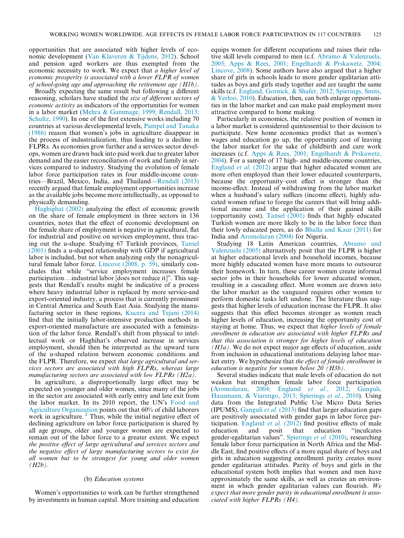opportunities that are associated with higher levels of economic development ([Van Klaveren & Tijdens, 2012\)](#page-16-0). School and pension aged workers are thus exempted from the economic necessity to work. We expect that  $\hat{a}$  higher level of economic prosperity is associated with a lower FLPR of women of school-going age and approaching the retirement age (H1b).

Broadly expecting the same result but following a different reasoning, scholars have studied the size of different sectors of economic activity as indicators of the opportunities for women in a labor market [\(Mehra & Gammage, 1999; Rendall, 2013;](#page-16-0) [Schultz, 1990](#page-16-0)). In one of the first extensive works including 70 countries at various developmental levels, [Pampel and Tanaka](#page-16-0) [\(1986\)](#page-16-0) reason that women's jobs in agriculture disappear in the process of industrialization, thus leading to a decline in FLPRs. As economies grow further and a services sector develops, women are drawn back into paid work due to greater labor demand and the easier reconciliation of work and family in services compared to industry. Studying the evolution of female labor force participation rates in four middle-income countries—Brazil, Mexico, India, and Thailand—[Rendall \(2013\)](#page-16-0) recently argued that female employment opportunities increase as the available jobs become more intellectually, as opposed to physically demanding.

[Haghighat \(2002\)](#page-16-0) analyzing the effect of economic growth on the share of female employment in three sectors in 136 countries, notes that the effect of economic development on the female share of employment is negative in agricultural, flat for industrial and positive on services employment, thus tracing out the u-shape. Studying 67 Turkish provinces, [Tansel](#page-16-0) [\(2001\)](#page-16-0) finds a u-shaped relationship with GDP if agricultural labor is included, but not when analyzing only the nonagricultural female labor force. [Lincove \(2008, p. 59\)](#page-16-0), similarly concludes that while "service employment increases female participation...industrial labor [does not reduce it]". This suggests that Rendall's results might be indicative of a process where heavy industrial labor is replaced by more service-and export-oriented industry, a process that is currently prominent in Central America and South East Asia. Studying the manufacturing sector in these regions, [Kucera and Tejani \(2014\)](#page-16-0) find that the initially labor-intensive production methods in export-oriented manufacture are associated with a feminization of the labor force. Rendall's shift from physical to intellectual work or Haghihat's observed increase in services employment, should then be interpreted as the upward turn of the u-shaped relation between economic conditions and the FLPR. Therefore, we expect that large agricultural and services sectors are associated with high FLPRs, whereas large manufacturing sectors are associated with low FLPRs (H2a).

In agriculture, a disproportionally large effect may be expected on younger and older women, since many of the jobs in the sector are associated with early entry and late exit from the labor market. In its 2010 report, the UN's [Food and](#page-15-0) [Agriculture Organization](#page-15-0) points out that 60% of child laborers work in agriculture.  $2$  Thus, while the initial negative effect of declining agriculture on labor force participation is shared by all age groups, older and younger women are expected to remain out of the labor force to a greater extent. We expect the positive effect of large agricultural and services sectors and the negative effect of large manufacturing sectors to exist for all women but to be strongest for young and older women  $(H2b)$ .

#### (b) Education systems

Women's opportunities to work can be further strengthened by investments in human capital. More training and education equips women for different occupations and raises their relative skill levels compared to men (c.f. [Abramo & Valenzuela,](#page-15-0) [2005; Apps & Rees, 2001; Engelhardt & Prskawetz, 2004;](#page-15-0) [Lincove, 2008\)](#page-15-0). Some authors have also argued that a higher share of girls in schools leads to more gender egalitarian attitudes as boys and girls study together and are taught the same skills (c.f. [England, Gornick, & Shafer, 2012; Spierings, Smits,](#page-15-0) [& Verloo, 2010](#page-15-0)). Education, then, can both enlarge opportunities in the labor market and can make paid employment more attractive compared to home making.

Particularly in economics, the relative position of women in a labor market is considered quintessential to their decision to participate. New home economics predict that as women's wages and education go up, the opportunity cost of leaving the labor market for the sake of childbirth and care work increases (c.f. [Apps & Rees, 2001; Engelhardt & Prskawetz,](#page-15-0) [2004](#page-15-0)). For a sample of 17 high- and middle-income countries, [England](#page-15-0) et al. (2012) argue that higher educated women are more often employed than their lower educated counterparts, because the opportunity–cost effect is stronger than the income-effect. Instead of withdrawing from the labor market when a husband's salary suffices (income effect), highly educated women refuse to forego the careers that will bring additional income and the application of their gained skills (opportunity cost). [Tansel \(2001\)](#page-16-0) finds that highly educated Turkish women are more likely to be in the labor force than their lowly educated peers, as do [Bhalla and Kaur \(2011\)](#page-15-0) for India and [Aromolaran \(2004\)](#page-15-0) for Nigeria.

Studying 18 Latin American countries, [Abramo and](#page-15-0) [Valenzuela \(2005\)](#page-15-0) alternatively posit that the FLPR is higher at higher educational levels and household incomes, because more highly educated women have more means to outsource their homework. In turn, these career women create informal sector jobs in their households for lower educated women, resulting in a cascading effect. More women are drawn into the labor market as the vanguard requires other women to perform domestic tasks left undone. The literature thus suggests that higher levels of education increase the FLPR. It also suggests that this effect becomes stronger as women reach higher levels of education, increasing the opportunity cost of staying at home. Thus, we expect that higher levels of female enrollment in education are associated with higher FLPRs and that this association is stronger for higher levels of education  $(H3a)$ . We do not expect major age effects of education, aside from inclusion in educational institutions delaying labor market entry. We hypothesize that the effect of female enrollment in education is negative for women below  $20$  (H3b).

Several studies indicate that male levels of education do not weaken but strengthen female labor force participation ([Aromolaran, 2004; England](#page-15-0) et al., 2012; Ganguli, [Hausmann, & Viarengo, 2013; Spierings](#page-15-0) et al., 2010). Using data from the Integrated Public Use Micro Data Series (IPUMS), [Ganguli](#page-15-0) *et al.* (2013) find that larger education gaps are positively associated with gender gaps in labor force par-ticipation. [England](#page-15-0) *et al.* (2012) find positive effects of male education and positive that education "inculcates" education and posit that education "inculcates gender-egalitarian values". [Spierings](#page-16-0) et al. (2010), researching female labor force participation in North Africa and the Middle East, find positive effects of a more equal share of boys and girls in education suggesting enrollment parity creates more gender egalitarian attitudes. Parity of boys and girls in the educational system both implies that women and men have approximately the same skills, as well as creates an environment in which gender egalitarian values can flourish. We expect that more gender parity in educational enrollment is associated with higher FLPRs (H4).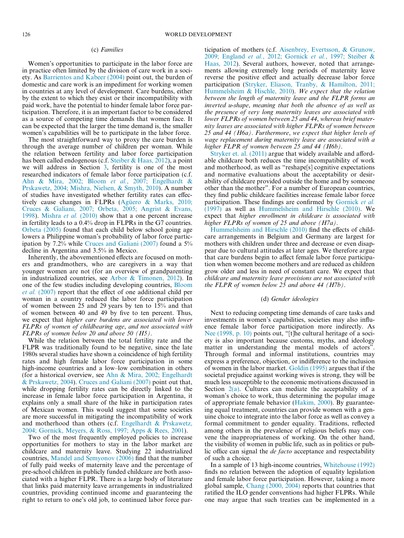#### (c) Families

Women's opportunities to participate in the labor force are in practice often limited by the division of care work in a society. As [Barrientos and Kabeer \(2004\)](#page-15-0) point out, the burden of domestic and care work is an impediment for working women in countries at any level of development. Care burdens, either by the extent to which they exist or their incompatibility with paid work, have the potential to hinder female labor force participation. Therefore, it is an important factor to be considered as a source of competing time demands that women face. It can be expected that the larger the time demand is, the smaller women's capabilities will be to participate in the labor force.

The most straightforward way to proxy the care burden is through the average number of children per woman. While the relation between fertility and labor force participation has been called endogenous (c.f. [Steiber & Haas, 2012](#page-16-0)), a point we will address in Section 3, fertility is one of the most researched indicators of female labor force participation (c.f. [Ahn & Mira, 2002; Bloom](#page-15-0) et al., 2007; Engelhardt & [Prskawetz, 2004; Mishra, Nielsen, & Smyth, 2010\)](#page-15-0). A number of studies have investigated whether fertility rates can effectively cause changes in FLPRs (Agüero  $\&$  Marks, 2010; [Cruces & Galiani, 2007; Orbeta, 2005; Angrist & Evans,](#page-15-0) [1998\)](#page-15-0). [Mishra](#page-16-0) et al. (2010) show that a one percent increase in fertility leads to a 0.4% drop in FLPRs in the G7 countries. [Orbeta \(2005\)](#page-16-0) found that each child below school going age lowers a Philippine woman's probability of labor force participation by 7.2% while [Cruces and Galiani \(2007\)](#page-15-0) found a 5% decline in Argentina and 3.5% in Mexico.

Inherently, the abovementioned effects are focused on mothers and grandmothers, who are caregivers in a way that younger women are not (for an overview of grandparenting in industrialized countries, see [Arbor & Timonen, 2012](#page-15-0)). In one of the few studies including developing countries, [Bloom](#page-15-0) et al. [\(2007\)](#page-15-0) report that the effect of one additional child per woman in a country reduced the labor force participation of women between 25 and 29 years by ten to 15% and that of women between 40 and 49 by five to ten percent. Thus, we expect that higher care burdens are associated with lower FLPRs of women of childbearing age, and not associated with FLPRs of women below 20 and above 50 (H5).

While the relation between the total fertility rate and the FLPR was traditionally found to be negative, since the late 1980s several studies have shown a coincidence of high fertility rates and high female labor force participation in some high-income countries and a low–low combination in others (for a historical overview, see [Ahn & Mira, 2002; Engelhardt](#page-15-0) [& Prskawetz, 2004\)](#page-15-0). [Cruces and Galiani \(2007\)](#page-15-0) point out that, while dropping fertility rates can be directly linked to the increase in female labor force participation in Argentina, it explains only a small share of the hike in participation rates of Mexican women. This would suggest that some societies are more successful in mitigating the incompatibility of work and motherhood than others (c.f. [Engelhardt & Prskawetz,](#page-15-0) [2004; Gornick, Meyers, & Ross, 1997; Apps & Rees, 2001\)](#page-15-0).

Two of the most frequently employed policies to increase opportunities for mothers to stay in the labor market are childcare and maternity leave. Studying 22 industrialized countries, [Mandel and Semyonov \(2006\)](#page-16-0) find that the number of fully paid weeks of maternity leave and the percentage of pre-school children in publicly funded childcare are both associated with a higher FLPR. There is a large body of literature that links paid maternity leave arrangements in industrialized countries, providing continued income and guaranteeing the right to return to one's old job, to continued labor force participation of mothers (c.f. [Aisenbrey, Evertsson, & Grunow,](#page-15-0) 2009; England et al., 2012; Gornick et al.[, 1997; Steiber &](#page-15-0) [Haas, 2012](#page-15-0)). Several authors, however, noted that arrangements allowing extremely long periods of maternity leave reverse the positive effect and actually decrease labor force participation ([Stryker, Eliason, Tranby, & Hamilton, 2011;](#page-16-0) [Hummelsheim & Hischle, 2010\)](#page-16-0). We expect that the relation between the length of maternity leave and the FLPR forms an inverted u-shape, meaning that both the absence of as well as the presence of very long maternity leaves are associated with lower FLPRs of women between 25 and 44, whereas brief maternity leaves are associated with higher FLPRs of women between 25 and 44 (H6a). Furthermore, we expect that higher levels of wage replacement during maternity leave are associated with a higher FLPR of women between 25 and 44 (H6b).

[Stryker et. al. \(2011\)](#page-16-0) argue that widely available and affordable childcare both reduces the time incompatibility of work and motherhood, as well as "reshape[s] cognitive expectations and normative evaluations about the acceptability or desirability of childcare provided outside the home and by someone other than the mother". For a number of European countries, they find public childcare facilities increase female labor force participation. These findings are confirmed by [Gornick](#page-15-0) et al. [\(1997\)](#page-15-0) as well as [Hummelsheim and Hirschle \(2010\)](#page-16-0). We expect that higher enrollment in childcare is associated with higher FLPRs of women of 25 and above (H7a).

[Hummelsheim and Hirschle \(2010\)](#page-16-0) find the effects of childcare arrangements in Belgium and Germany are largest for mothers with children under three and decrease or even disappear due to cultural attitudes at later ages. We therefore argue that care burdens begin to affect female labor force participation when women become mothers and are reduced as children grow older and less in need of constant care. We expect that childcare and maternity leave provisions are not associated with the FLPR of women below  $2\bar{5}$  and above 44 (H7b).

#### (d) Gender ideologies

Next to reducing competing time demands of care tasks and investments in women's capabilities, societies may also influence female labor force participation more indirectly. As [Nee \(1998, p. 10\)](#page-16-0) points out, "[t]he cultural heritage of a society is also important because customs, myths, and ideology matter in understanding the mental models of actors". Through formal and informal institutions, countries may express a preference, objection, or indifference to the inclusion of women in the labor market. [Goldin \(1995\)](#page-15-0) argues that if the societal prejudice against working wives is strong, they will be much less susceptible to the economic motivations discussed in Section  $2(a)$ . Cultures can mediate the acceptability of a woman's choice to work, thus determining the popular image of appropriate female behavior ([Hakim, 2000](#page-16-0)). By guaranteeing equal treatment, countries can provide women with a genuine choice to integrate into the labor force as well as convey a formal commitment to gender equality. Traditions, reflected among others in the prevalence of religious beliefs may convene the inappropriateness of working. On the other hand, the visibility of women in public life, such as in politics or public office can signal the *de facto* acceptance and respectability of such a choice.

In a sample of 13 high-income countries, [Whitehouse \(1992\)](#page-16-0) finds no relation between the adoption of equality legislation and female labor force participation. However, taking a more global sample, [Chang \(2000, 2004\)](#page-15-0) reports that countries that ratified the ILO gender conventions had higher FLPRs. While one may argue that such treaties can be implemented in a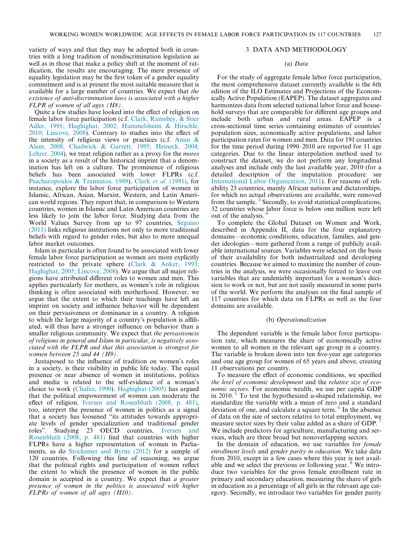variety of ways and that they may be adopted both in countries with a long tradition of nondiscrimination legislation as well as in those that make a policy shift at the moment of ratification, the results are encouraging. The mere presence of equality legislation may be the first token of a gender equality commitment and is at present the most suitable measure that is available for a large number of countries. We expect that the existence of anti-discrimination laws is associated with a higher FLPR of women of all ages (H8).

Quite a few studies have looked into the effect of religion on female labor force participation (c.f. [Clark, Ramsbey, & Stier](#page-15-0) [Adler, 1991; Haghighat, 2002; Hummelsheim & Hirschle,](#page-15-0) [2010; Lincove, 2008](#page-15-0)). Contrary to studies into the effect of the intensity of religious views or practices (c.f. [Amin &](#page-15-0) [Alam, 2008; Chadwick & Garrett, 1995; Heineck, 2004;](#page-15-0) [Lehrer, 2004\)](#page-15-0), we treat religion rather as a proxy for the mores in a society as a result of the historical imprint that a denomination has left on a culture. The prominence of religious beliefs has been associated with lower FLPRs (c.f. [Psacharopoulos & Tzannatos, 1989](#page-16-0)). Clark et al. [\(1991\)](#page-15-0), for instance, explore the labor force participation of women in Islamic, African, Asian, Marxist, Western, and Latin American world regions. They report that, in comparison to Western countries, women in Islamic and Latin American countries are less likely to join the labor force. Studying data from the World Values Survey from up to 97 countries, [Seguino](#page-16-0) [\(2011\)](#page-16-0) links religious institutions not only to more traditional beliefs with regard to gender roles, but also to more unequal labor market outcomes.

Islam in particular is often found to be associated with lower female labor force participation as women are more explicitly restricted to the private sphere ([Clark & Anker, 1993;](#page-15-0) [Haghighat, 2005; Lincove, 2008\)](#page-15-0). We argue that all major religions have attributed different roles to women and men. This applies particularly for mothers, as women's role in religious thinking is often associated with motherhood. However, we argue that the extent to which their teachings have left an imprint on society and influence behavior will be dependent on their pervasiveness or dominance in a country. A religion to which the large majority of a country's population is affiliated, will thus have a stronger influence on behavior than a smaller religious community. We expect that the pervasiveness of religions in general and Islam in particular, is negatively associated with the FLPR and that this association is strongest for women between 25 and 44 (H9).

Juxtaposed to the influence of tradition on women's roles in a society, is their visibility in public life today. The equal presence or near absence of women in institutions, politics and media is related to the self-evidence of a woman's choice to work [\(Chafez, 1990](#page-15-0)). [Haghighat \(2005\)](#page-16-0) has argued that the political empowerment of women can moderate the effect of religion. [Iversen and Rosenbluth \(2008, p. 481\)](#page-16-0), too, interpret the presence of women in politics as a signal that a society has loosened "its attitudes towards appropriate levels of gender specialization and traditional gender roles". Studying 23 OECD countries, [Iversen and](#page-16-0) [Rosenbluth \(2008, p. 481\)](#page-16-0) find that countries with higher FLPRs have a higher representation of women in Parliaments, as do [Stockemer and Byrne \(2012\)](#page-16-0) for a sample of 120 countries. Following this line of reasoning, we argue that the political rights and participation of women reflect the extent to which the presence of women in the public domain is accepted in a country. We expect that a greater presence of women in the politics is associated with higher FLPRs of women of all ages (H10).

#### 3. DATA AND METHODOLOGY

#### (a) Data

For the study of aggregate female labor force participation, the most comprehensive dataset currently available is the 6th edition of the ILO Estimates and Projections of the Economically Active Population (EAPEP). The dataset aggregates and harmonizes data from selected national labor force and household surveys that are comparable for different age groups and include both urban and rural areas. EAPEP is a cross-sectional time series containing estimates of countries' population sizes, economically active populations, and labor participation rates for women and men. Data for 191 countries for the time period during 1990–2010 are reported for 11 age categories. Due to the linear interpolation method used to construct the dataset, we do not perform any longitudinal analyses and include only the last available year, 2010 (for a detailed description of the imputation procedure: see [International Labor Organization, 2011](#page-16-0)). For reasons of reliability 23 countries, mainly African nations and dictatorships, for which no actual observations are available, were removed from the sample.<sup>3</sup> Secondly, to avoid statistical complications, 32 countries whose labor force is below one million were left out of the analysis. <sup>4</sup>

To complete the Global Dataset on Women and Work, described in Appendix II, data for the four explanatory domains—economic conditions, education, families, and gender ideologies—were gathered from a range of publicly available international sources. Variables were selected on the basis of their availability for both industrialized and developing countries. Because we aimed to maximize the number of countries in the analysis, we were occasionally forced to leave out variables that are undeniably important for a woman's decision to work or not, but are not easily measured in some parts of the world. We perform the analyses on the final sample of 117 countries for which data on FLPRs as well as the four domains are available.

#### (b) Operationalization

The dependent variable is the female labor force participation rate, which measures the share of economically active women to all women in the relevant age group in a country. The variable is broken down into ten five-year age categories and one age group for women of 65 years and above, creating 11 observations per country.

To measure the effect of economic conditions, we specified the level of economic development and the relative size of economic sectors. For economic wealth, we use per capita GDP in 2010. <sup>5</sup> To test the hypothesized u-shaped relationship, we standardize the variable with a mean of zero and a standard deviation of one, and calculate a square term.<sup>b</sup> In the absence of data on the size of sectors relative to total employment, we measure sector sizes by their value added as a share of GDP. We include predictors for agriculture, manufacturing and services, which are three broad but nonoverlapping sectors.

In the domain of education, we use variables for *female* enrollment levels and gender parity in education. We take data from 2010, except in a few cases where this year is not available and we select the previous or following year.  $8$  We introduce two variables for the gross female enrollment rate in primary and secondary education, measuring the share of girls in education as a percentage of all girls in the relevant age category. Secondly, we introduce two variables for gender parity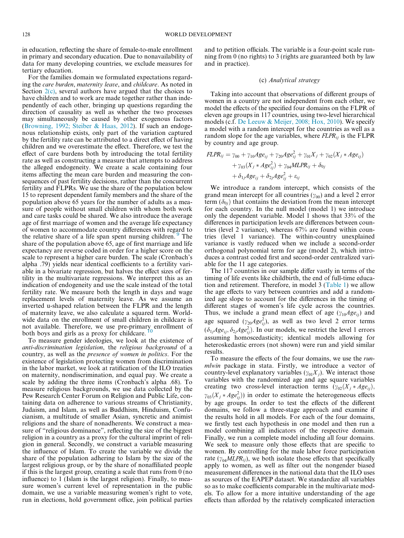in education, reflecting the share of female-to-male enrollment in primary and secondary education. Due to nonavailability of data for many developing countries, we exclude measures for tertiary education.

For the families domain we formulated expectations regarding the care burden, maternity leave, and childcare. As noted in Section  $2(c)$ , several authors have argued that the choices to have children and to work are made together rather than independently of each other, bringing up questions regarding the direction of causality as well as whether the two processes may simultaneously be caused by other exogenous factors ([Browning, 1992; Steiber & Haas, 2012](#page-15-0)). If such an endogenous relationship exists, only part of the variation captured by the fertility rate can be attributed to a direct effect of having children and we overestimate the effect. Therefore, we test the effect of care burdens both by introducing the total fertility rate as well as constructing a measure that attempts to address the alleged endogeneity. We create a scale containing four items affecting the mean care burden and measuring the consequences of past fertility decisions, rather than the concurrent fertility and FLPRs. We use the share of the population below 15 to represent dependent family members and the share of the population above 65 years for the number of adults as a measure of people without small children with whom both work and care tasks could be shared. We also introduce the average age of first marriage of women and the average life expectancy of women to accommodate country differences with regard to the relative share of a life span spent nursing children.<sup>9</sup> The share of the population above 65, age of first marriage and life expectancy are reverse coded in order for a higher score on the scale to represent a higher care burden. The scale (Cronbach's alpha .79) yields near identical coefficients to a fertility variable in a bivariate regression, but halves the effect sizes of fertility in the multivariate regressions. We interpret this as an indication of endogeneity and use the scale instead of the total fertility rate. We measure both the length in days and wage replacement levels of maternity leave. As we assume an inverted u-shaped relation between the FLPR and the length of maternity leave, we also calculate a squared term. Worldwide data on the enrollment of small children in childcare is not available. Therefore, we use pre-primary enrollment of both boys and girls as a proxy for childcare.

To measure gender ideologies, we look at the existence of anti-discrimination legislation, the religious background of a country, as well as the presence of women in politics. For the existence of legislation protecting women from discrimination in the labor market, we look at ratification of the ILO treaties on maternity, nondiscrimination, and equal pay. We create a scale by adding the three items (Cronbach's alpha .68). To measure religious backgrounds, we use data collected by the Pew Research Center Forum on Religion and Public Life, containing data on adherence to various streams of Christianity, Judaism, and Islam, as well as Buddhism, Hinduism, Confucianism, a multitude of smaller Asian, syncretic and animist religions and the share of nonadherents. We construct a measure of "religious dominance", reflecting the size of the biggest religion in a country as a proxy for the cultural imprint of religion in general. Secondly, we construct a variable measuring the influence of Islam. To create the variable we divide the share of the population adhering to Islam by the size of the largest religious group, or by the share of nonaffiliated people if this is the largest group, creating a scale that runs from 0 (no influence) to 1 (Islam is the largest religion). Finally, to measure women's current level of representation in the public domain, we use a variable measuring women's right to vote, run in elections, hold government office, join political parties

and to petition officials. The variable is a four-point scale running from 0 (no rights) to 3 (rights are guaranteed both by law and in practice).

#### (c) Analytical strategy

Taking into account that observations of different groups of women in a country are not independent from each other, we model the effects of the specified four domains on the FLPR of eleven age groups in 117 countries, using two-level hierarchical models (c.f. [De Leeuw & Meijer, 2008; Hox, 2010](#page-15-0)). We specify a model with a random intercept for the countries as well as a random slope for the age variables, where  $FLPR_{ii}$  is the FLPR by country and age group.

$$
FLPR_{ij} = \gamma_{00} + \gamma_{10} Age_{ij} + \gamma_{20} Age_{ij}^2 + \gamma_{01}X_j + \gamma_{02}(X_j * Age_{ij})
$$
  
+  $\gamma_{03}(X_j * Age_{ij}^2) + \gamma_{04}MLPR_{ij} + \delta_{0j}$   
+  $\delta_{1j}Age_{ij} + \delta_{2j}Age_{ij}^2 + \varepsilon_{ij}$ 

We introduce a random intercept, which consists of the grand mean intercept for all countries  $(\gamma_{00})$  and a level 2 error term  $(\delta_{0i})$  that contains the deviation from the mean intercept for each country. In the null model (model 1) we introduce only the dependent variable. Model 1 shows that 33% of the differences in participation levels are differences between countries (level 2 variance), whereas 67% are found within countries (level 1 variance). The within-country unexplained variance is vastly reduced when we include a second-order orthogonal polynomial term for age (model 2), which introduces a contrast coded first and second-order centralized variable for the 11 age categories.

The 117 countries in our sample differ vastly in terms of the timing of life events like childbirth, the end of full-time education and retirement. Therefore, in model 3 [\(Table 1\)](#page-7-0) we allow the age effects to vary between countries and add a randomized age slope to account for the differences in the timing of different stages of women's life cycle across the countries. Thus, we include a grand mean effect of age  $(\gamma_{10}Age_{ij})$  and age squared  $(\gamma_{20}Age_{ij}^2)$ , as well as two level 2 error terms  $(\delta_{1j}Age_{ij}, \delta_{2j}Age_{ij}^2)$ . In our models, we restrict the level 1 errors assuming homoscedasticity; identical models allowing for heteroskedastic errors (not shown) were run and yield similar results.

To measure the effects of the four domains, we use the runmlwin package in stata. Firstly, we introduce a vector of country-level explanatory variables  $(\gamma_{01}X_j)$ . We interact those variables with the randomized age and age square variables creating two cross-level interaction terms  $(\gamma_{02}(X_j * Age_{ij}),$  $\gamma_{03}(X_j * Age_{ij}^2)$  in order to estimate the heterogeneous effects by age groups. In order to test the effects of the different domains, we follow a three-stage approach and examine if the results hold in all models. For each of the four domains, we firstly test each hypothesis in one model and then run a model combining all indicators of the respective domain. Finally, we run a complete model including all four domains. We seek to measure only those effects that are specific to women. By controlling for the male labor force participation rate ( $\gamma_{04}MLPR_{ij}$ ), we both isolate those effects that specifically apply to women, as well as filter out the nongender biased measurement differences in the national data that the ILO uses as sources of the EAPEP dataset. We standardize all variables so as to make coefficients comparable in the multivariate models. To allow for a more intuitive understanding of the age effects than afforded by the relatively complicated interaction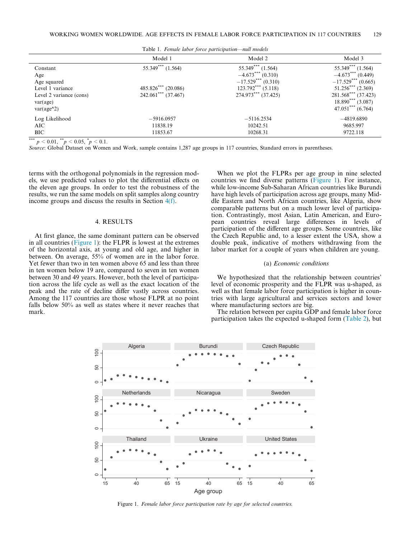<span id="page-7-0"></span>

| Table 1. Female labor force participation—null models                                                     |                                                                         |                                                                                                                    |                                                                                                                                                                  |  |
|-----------------------------------------------------------------------------------------------------------|-------------------------------------------------------------------------|--------------------------------------------------------------------------------------------------------------------|------------------------------------------------------------------------------------------------------------------------------------------------------------------|--|
|                                                                                                           | Model 1                                                                 | Model 2                                                                                                            | Model 3                                                                                                                                                          |  |
| Constant<br>Age<br>Age squared<br>Level 1 variance<br>Level 2 variance (cons)<br>var(age)<br>$var(age^2)$ | $55.349***$ $(1.564)$<br>$485.826***$ (20.086)<br>$242.061***$ (37.467) | $55.349***$ $(1.564)$<br>$-4.673***(0.310)$<br>$-17.529***$ (0.310)<br>$123.792***$ (5.118)<br>274.973*** (37.425) | $55.349***$ $(1.564)$<br>$-4.673***$ (0.449)<br>$-17.529***$ (0.665)<br>$51.256***$ (2.369)<br>281.568*** (37.423)<br>$18.890***$ (3.087)<br>$47.051***$ (6.764) |  |
| Log Likelihood<br>AIC<br>BIC                                                                              | $-5916.0957$<br>11838.19<br>11853.67                                    | $-5116.2534$<br>10242.51<br>10268.31                                                                               | $-4819.6890$<br>9685.997<br>9722.118                                                                                                                             |  |

\*\*\*  $p < 0.01$ ,  $\sqrt[*]{p} < 0.05$ ,  $\sqrt[*]{p} < 0.1$ .

Source: Global Dataset on Women and Work, sample contains 1,287 age groups in 117 countries, Standard errors in parentheses.

terms with the orthogonal polynomials in the regression models, we use predicted values to plot the differential effects on the eleven age groups. In order to test the robustness of the results, we run the same models on split samples along country income groups and discuss the results in Section  $4(f)$ .

#### 4. RESULTS

At first glance, the same dominant pattern can be observed in all countries (Figure 1): the FLPR is lowest at the extremes of the horizontal axis, at young and old age, and higher in between. On average, 55% of women are in the labor force. Yet fewer than two in ten women above 65 and less than three in ten women below 19 are, compared to seven in ten women between 30 and 49 years. However, both the level of participation across the life cycle as well as the exact location of the peak and the rate of decline differ vastly across countries. Among the 117 countries are those whose FLPR at no point falls below 50% as well as states where it never reaches that mark.

When we plot the FLPRs per age group in nine selected countries we find diverse patterns (Figure 1). For instance, while low-income Sub-Saharan African countries like Burundi have high levels of participation across age groups, many Middle Eastern and North African countries, like Algeria, show comparable patterns but on a much lower level of participation. Contrastingly, most Asian, Latin American, and European countries reveal large differences in levels of participation of the different age groups. Some countries, like the Czech Republic and, to a lesser extent the USA, show a double peak, indicative of mothers withdrawing from the labor market for a couple of years when children are young.

#### (a) Economic conditions

We hypothesized that the relationship between countries' level of economic prosperity and the FLPR was u-shaped, as well as that female labor force participation is higher in countries with large agricultural and services sectors and lower where manufacturing sectors are big.

The relation between per capita GDP and female labor force participation takes the expected u-shaped form ([Table 2](#page-8-0)), but



Figure 1. Female labor force participation rate by age for selected countries.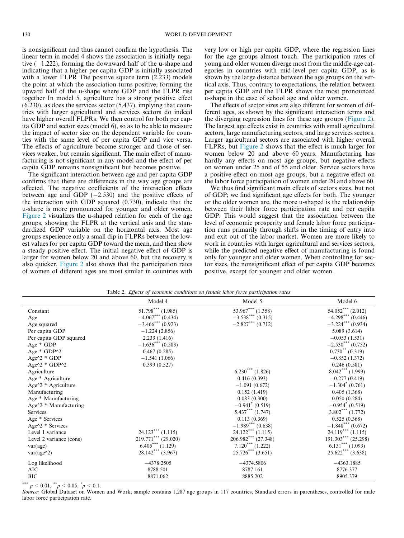<span id="page-8-0"></span>is nonsignificant and thus cannot confirm the hypothesis. The linear term in model 4 shows the association is initially negative  $(-1.222)$ , forming the downward half of the u-shape and indicating that a higher per capita GDP is initially associated with a lower FLPR The positive square term  $(2.233)$  models the point at which the association turns positive, forming the upward half of the u-shape where GDP and the FLPR rise together In model 5, agriculture has a strong positive effect (6.230), as does the services sector (5.437), implying that countries with larger agricultural and services sectors do indeed have higher overall FLPRs. We then control for both per capita GDP and sector sizes (model 6), so as to be able to measure the impact of sector size on the dependent variable for counties with the same level of per capita GDP and vice versa. The effects of agriculture become stronger and those of services weaker, but remain significant. The main effect of manufacturing is not significant in any model and the effect of per capita GDP remains nonsignificant but becomes positive.

The significant interaction between age and per capita GDP confirms that there are differences in the way age groups are affected. The negative coefficients of the interaction effects between age and GDP  $(-2.530)$  and the positive effects of the interaction with GDP squared (0.730), indicate that the u-shape is more pronounced for younger and older women. [Figure 2](#page-9-0) visualizes the u-shaped relation for each of the age groups, showing the FLPR at the vertical axis and the standardized GDP variable on the horizontal axis. Most age groups experience only a small dip in FLPRs between the lowest values for per capita GDP toward the mean, and then show a steady positive effect. The initial negative effect of GDP is larger for women below 20 and above 60, but the recovery is also quicker. [Figure 2](#page-9-0) also shows that the participation rates of women of different ages are most similar in countries with very low or high per capita GDP, where the regression lines for the age groups almost touch. The participation rates of young and older women diverge most from the middle-age categories in countries with mid-level per capita GDP, as is shown by the large distance between the age groups on the vertical axis. Thus, contrary to expectations, the relation between per capita GDP and the FLPR shows the most pronounced u-shape in the case of school age and older women.

The effects of sector sizes are also different for women of different ages, as shown by the significant interaction terms and the diverging regression lines for these age groups ([Figure 2](#page-9-0)). The largest age effects exist in countries with small agricultural sectors, large manufacturing sectors, and large services sectors. Larger agricultural sectors are associated with higher overall FLPRs, but [Figure 2](#page-9-0) shows that the effect is much larger for women below 20 and above 60 years. Manufacturing has hardly any effects on most age groups, but negative effects on women under 25 and of 55 and older. Service sectors have a positive effect on most age groups, but a negative effect on the labor force participation of women under 20 and above 60.

We thus find significant main effects of sectors sizes, but not of GDP; we find significant age effects for both. The younger or the older women are, the more u-shaped is the relationship between their labor force participation rate and per capita GDP. This would suggest that the association between the level of economic prosperity and female labor force participation runs primarily through shifts in the timing of entry into and exit out of the labor market. Women are more likely to work in countries with larger agricultural and services sectors, while the predicted negative effect of manufacturing is found only for younger and older women. When controlling for sector sizes, the nonsignificant effect of per capita GDP becomes positive, except for younger and older women.

|                                    | Model 4                         | Model 5               | Model 6                       |
|------------------------------------|---------------------------------|-----------------------|-------------------------------|
| Constant                           | $51.798***$ $(1.985)$           | $53.967***$ $(1.358)$ | $54.052***$ (2.012)           |
| Age                                | $-4.067***$ (0.434)             | $-3.538***$ (0.315)   | $-4.298***$ (0.446)           |
| Age squared                        | $-3.466$ <sup>***</sup> (0.923) | $-2.827***$ (0.712)   | $-3.224***$ (0.934)           |
| Per capita GDP                     | $-1.224(2.856)$                 |                       | 5.089(3.614)                  |
| Per capita GDP squared             | 2.233(1.416)                    |                       | $-0.053(1.531)$               |
| Age * GDP                          | $-1.636***$ (0.583)             |                       | $-2.530***$ (0.752)           |
| Age * GDP^2                        | 0.467(0.285)                    |                       | $0.730^{**}$ (0.319)          |
| $Age^2 * GDP$                      | $-1.541(1.066)$                 |                       | $-0.852(1.372)$               |
| Age $^2$ * GDP $^2$                | 0.399(0.527)                    |                       | 0.246(0.581)                  |
| Agriculture                        |                                 | $6.230***$ $(1.826)$  | $8.042***$ (1.999)            |
| Age * Agriculture                  |                                 | 0.416(0.393)          | $-0.277(0.419)$               |
| Age $\textdegree{2}$ * Agriculture |                                 | $-1.091(0.672)$       | $-1.304^*$ (0.761)            |
| Manufacturing                      |                                 | 0.152(1.419)          | 0.405(1.368)                  |
| Age * Manufacturing                |                                 | 0.083(0.300)          | 0.050(0.284)                  |
| $Age^2$ * Manufacturing            |                                 | $-0.941^*$ (0.519)    | $-0.954$ <sup>*</sup> (0.519) |
| Services                           |                                 | $5.437***(1.747)$     | $3.802***(1.772)$             |
| Age * Services                     |                                 | 0.113(0.369)          | 0.525(0.368)                  |
| Age^2 * Services                   |                                 | $-1.989***$ (0.638)   | $-1.848***$ (0.672)           |
| Level 1 variance                   | $24.123***(1.115)$              | $24.122***(1.115)$    | $24.119***$ $(1.115)$         |
| Level 2 variance (cons)            | $219.771***$ (29.020)           | 206.982*** (27.348)   | $191.303***$ (25.298)         |
| var(age)                           | $6.405***(1.129)$               | $7.120***$ $(1.222)$  | $6.131***$ $(1.093)$          |
| $var(age^2)$                       | $28.142***$ (3.967)             | $25.726***$ (3.651)   | $25.622***$ (3.638)           |
| Log likelihood                     | $-4378.2505$                    | $-4374.5806$          | $-4363.1885$                  |
| <b>AIC</b>                         | 8788.501                        | 8787.161              | 8776.377                      |
| <b>BIC</b>                         | 8871.062                        | 8885.202              | 8905.379                      |

Table 2. Effects of economic conditions on female labor force participation rates

\*\*\*  $p < 0.01$ ,  $\binom{**}{p} < 0.05$ ,  $\binom{*}{p} < 0.1$ .

Source: Global Dataset on Women and Work, sample contains 1,287 age groups in 117 countries, Standard errors in parentheses, controlled for male labor force participation rate.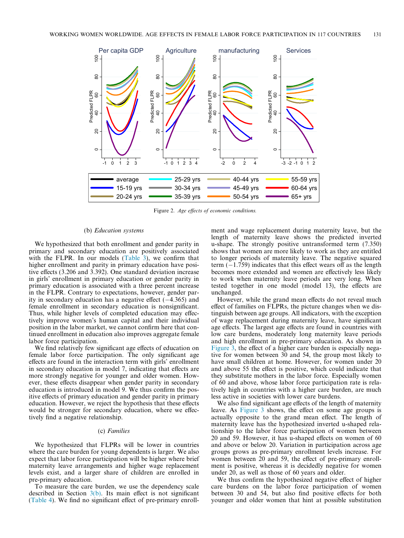<span id="page-9-0"></span>

Figure 2. Age effects of economic conditions.

#### (b) Education systems

We hypothesized that both enrollment and gender parity in primary and secondary education are positively associated with the FLPR. In our models [\(Table 3\)](#page-10-0), we confirm that higher enrollment and parity in primary education have positive effects (3.206 and 3.392). One standard deviation increase in girls' enrollment in primary education or gender parity in primary education is associated with a three percent increase in the FLPR. Contrary to expectations, however, gender parity in secondary education has a negative effect  $(-4.365)$  and female enrollment in secondary education is nonsignificant. Thus, while higher levels of completed education may effectively improve women's human capital and their individual position in the labor market, we cannot confirm here that continued enrollment in education also improves aggregate female labor force participation.

We find relatively few significant age effects of education on female labor force participation. The only significant age effects are found in the interaction term with girls' enrollment in secondary education in model 7, indicating that effects are more strongly negative for younger and older women. However, these effects disappear when gender parity in secondary education is introduced in model 9. We thus confirm the positive effects of primary education and gender parity in primary education. However, we reject the hypothesis that these effects would be stronger for secondary education, where we effectively find a negative relationship.

#### (c) Families

We hypothesized that FLPRs will be lower in countries where the care burden for young dependents is larger. We also expect that labor force participation will be higher where brief maternity leave arrangements and higher wage replacement levels exist, and a larger share of children are enrolled in pre-primary education.

To measure the care burden, we use the dependency scale described in Section 3(b). Its main effect is not significant ([Table 4\)](#page-10-0). We find no significant effect of pre-primary enrollment and wage replacement during maternity leave, but the length of maternity leave shows the predicted inverted u-shape. The strongly positive untransformed term (7.350) shows that women are more likely to work as they are entitled to longer periods of maternity leave. The negative squared term  $(-1.759)$  indicates that this effect wears off as the length becomes more extended and women are effectively less likely to work when maternity leave periods are very long. When tested together in one model (model 13), the effects are unchanged.

However, while the grand mean effects do not reveal much effect of families on FLPRs, the picture changes when we distinguish between age groups. All indicators, with the exception of wage replacement during maternity leave, have significant age effects. The largest age effects are found in countries with low care burdens, moderately long maternity leave periods and high enrollment in pre-primary education. As shown in [Figure 3,](#page-11-0) the effect of a higher care burden is especially negative for women between 30 and 54, the group most likely to have small children at home. However, for women under 20 and above 55 the effect is positive, which could indicate that they substitute mothers in the labor force. Especially women of 60 and above, whose labor force participation rate is relatively high in countries with a higher care burden, are much less active in societies with lower care burdens.

We also find significant age effects of the length of maternity leave. As [Figure 3](#page-11-0) shows, the effect on some age groups is actually opposite to the grand mean effect. The length of maternity leave has the hypothesized inverted u-shaped relationship to the labor force participation of women between 20 and 59. However, it has u-shaped effects on women of 60 and above or below 20. Variation in participation across age groups grows as pre-primary enrollment levels increase. For women between 20 and 59, the effect of pre-primary enrollment is positive, whereas it is decidedly negative for women under 20, as well as those of 60 years and older.

We thus confirm the hypothesized negative effect of higher care burdens on the labor force participation of women between 30 and 54, but also find positive effects for both younger and older women that hint at possible substitution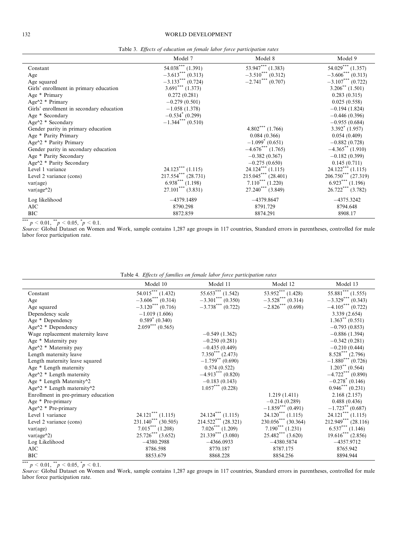Table 3. Effects of education on female labor force participation rates

<span id="page-10-0"></span>

|                                          | Model 7                 | Model 8                       | Model 9                         |
|------------------------------------------|-------------------------|-------------------------------|---------------------------------|
| Constant                                 | $54.038***$ $(1.391)$   | $53.947***$ $(1.383)$         | $54.029***$ $(1.357)$           |
| Age                                      | $-3.613***$ (0.313)     | $-3.510^{***}$ (0.312)        | $-3.606***$ (0.313)             |
| Age squared                              | $-3.133***$ (0.724)     | $-2.741***(0.707)$            | $-3.107***$ (0.722)             |
| Girls' enrollment in primary education   | $3.691***(1.373)$       |                               | $3.206$ <sup>**</sup> $(1.501)$ |
| Age * Primary                            | 0.272(0.281)            |                               | 0.283(0.315)                    |
| Age^2 * Primary                          | $-0.279(0.501)$         |                               | 0.025(0.558)                    |
| Girls' enrollment in secondary education | $-1.058(1.378)$         |                               | $-0.194(1.824)$                 |
| Age * Secondary                          | $-0.534^*$ (0.299)      |                               | $-0.446(0.396)$                 |
| $Age^2$ * Secondary                      | $-1.344***$ (0.510)     |                               | $-0.955(0.684)$                 |
| Gender parity in primary education       |                         | $4.802***$ $(1.766)$          | $3.392^*$ (1.957)               |
| Age * Parity Primary                     |                         | 0.084(0.366)                  | 0.054(0.409)                    |
| Age^2 * Parity Primary                   |                         | $-1.099$ <sup>*</sup> (0.651) | $-0.882(0.728)$                 |
| Gender parity in secondary education     |                         | $-4.676***$ (1.765)           | $-4.365$ ** (1.910)             |
| Age * Parity Secondary                   |                         | $-0.382(0.367)$               | $-0.182(0.399)$                 |
| Age^2 * Parity Secondary                 |                         | $-0.275(0.650)$               | 0.145(0.711)                    |
| Level 1 variance                         | $24.123***$ $(1.115)$   | $24.124***$ $(1.115)$         | $24.122***$ $(1.115)$           |
| Level 2 variance (cons)                  | $217.554***$ $(28.731)$ | $215.045***$ (28.401)         | $206.750***$ (27.319)           |
| var(age)                                 | $6.938***$ (1.198)      | $7.110^{***}$ (1.220)         | $6.923***(1.196)$               |
| $var(age^2)$                             | $27.101***$ (3.831)     | $27.240^{***}$ (3.849)        | $26.722***$ (3.782)             |
| Log likelihood                           | $-4379.1489$            | $-4379.8647$                  | $-4375.3242$                    |
| AIC                                      | 8790.298                | 8791.729                      | 8794.648                        |
| <b>BIC</b>                               | 8872.859                | 8874.291                      | 8908.17                         |

\*\*\*  $p < 0.01$ ,  $\binom{**}{p} < 0.05$ ,  $\binom{*}{p} < 0.1$ .

Source: Global Dataset on Women and Work, sample contains 1,287 age groups in 117 countries, Standard errors in parentheses, controlled for male labor force participation rate.

| Table 4. Effects of families on female labor force participation rates |  |  |  |
|------------------------------------------------------------------------|--|--|--|
|                                                                        |  |  |  |

|                                                        | Model 10              | Model 11                       | Model 12              | Model 13                        |
|--------------------------------------------------------|-----------------------|--------------------------------|-----------------------|---------------------------------|
| Constant                                               | $54.015***$ (1.432)   | $55.653***$ $(1.542)$          | $53.952***$ (1.428)   | $55.881***$ (1.555)             |
| Age                                                    | $-3.606***$ (0.314)   | $-3.301***$ (0.350)            | $-3.528$ *** (0.314)  | $-3.329***$ (0.343)             |
| Age squared                                            | $-3.120***$ (0.716)   | $-3.738***$ (0.722)            | $-2.826***(0.698)$    | $-4.105***$ (0.722)             |
| Dependency scale                                       | $-1.019(1.606)$       |                                |                       | 3.339(2.654)                    |
| Age * Dependency                                       | $0.589^* (0.340)$     |                                |                       | $1.363$ <sup>**</sup> $(0.551)$ |
| $Age^2$ * Dependency                                   | $2.059***(0.565)$     |                                |                       | $-0.793(0.853)$                 |
| Wage replacement maternity leave                       |                       | $-0.549(1.362)$                |                       | $-0.886(1.394)$                 |
| Age * Maternity pay                                    |                       | $-0.250(0.281)$                |                       | $-0.342(0.281)$                 |
| Age <sup><math>\lambda</math></sup> * Maternity pay    |                       | $-0.435(0.449)$                |                       | $-0.210(0.444)$                 |
| Length maternity leave                                 |                       | $7.350***$ (2.473)             |                       | $8.528***$ (2.796)              |
| Length maternity leave squared                         |                       | $-1.759$ <sup>**</sup> (0.690) |                       | $-1.880^{***}$ (0.726)          |
| Age * Length maternity                                 |                       | 0.574(0.522)                   |                       | $1.203$ <sup>**</sup> $(0.564)$ |
| Age $\textdegree 2$ * Length maternity                 |                       | $-4.913***$ (0.820)            |                       | $-4.722***$ (0.890)             |
| Age * Length Maternity <sup>1</sup> 2                  |                       | $-0.183(0.143)$                |                       | $-0.278^*$ (0.146)              |
| Age $\textdegree$ 2 * Length maternity $\textdegree$ 2 |                       | $1.057***$ (0.228)             |                       | $0.946***(0.231)$               |
| Enrollment in pre-primary education                    |                       |                                | 1.219(1.411)          | 2.168(2.157)                    |
| Age * Pre-primary                                      |                       |                                | $-0.214(0.289)$       | 0.488(0.436)                    |
| Age^2 * Pre-primary                                    |                       |                                | $-1.859***(0.491)$    | $-1.723**$ (0.687)              |
| Level 1 variance                                       | $24.121***$ $(1.115)$ | $24.124***$ $(1.115)$          | $24.120***$ $(1.115)$ | $24.121***$ $(1.115)$           |
| Level 2 variance (cons)                                | 231.140*** (30.505)   | $214.522***$ (28.321)          | $230.056***$ (30.364) | $212.949***$ (28.116)           |
| var(age)                                               | $7.015***(1.208)$     | $7.026***(1.209)$              | $7.190***(1.231)$     | $6.537***$ $(1.146)$            |
| $var(age^2)$                                           | $25.726***$ (3.652)   | $21.339***$ (3.080)            | $25.482***$ (3.620)   | $19.616***$ (2.856)             |
| Log Likelihood                                         | $-4380.2988$          | $-4366.0933$                   | $-4380.5874$          | $-4357.9712$                    |
| AIC                                                    | 8786.598              | 8770.187                       | 8787.175              | 8765.942                        |
| <b>BIC</b>                                             | 8853.679              | 8868.228                       | 8854.256              | 8894.944                        |

\*\*\*  $p < 0.01$ ,  $*^{*}p < 0.05$ ,  $*_{p} < 0.1$ .

Source: Global Dataset on Women and Work, sample contains 1,287 age groups in 117 countries, Standard errors in parentheses, controlled for male labor force participation rate.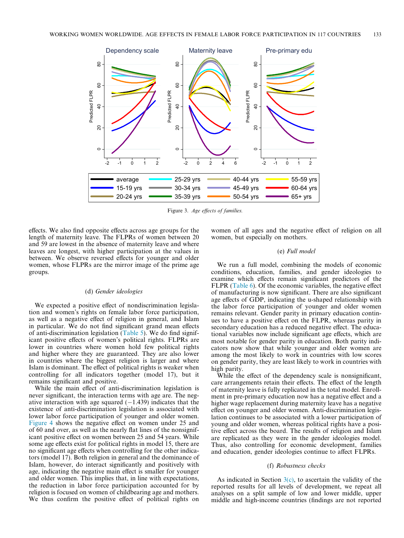<span id="page-11-0"></span>

Figure 3. Age effects of families.

effects. We also find opposite effects across age groups for the length of maternity leave. The FLPRs of women between 20 and 59 are lowest in the absence of maternity leave and where leaves are longest, with higher participation at the values in between. We observe reversed effects for younger and older women, whose FLPRs are the mirror image of the prime age groups.

#### (d) Gender ideologies

We expected a positive effect of nondiscrimination legislation and women's rights on female labor force participation, as well as a negative effect of religion in general, and Islam in particular. We do not find significant grand mean effects of anti-discrimination legislation ([Table 5\)](#page-12-0). We do find significant positive effects of women's political rights. FLPRs are lower in countries where women hold few political rights and higher where they are guaranteed. They are also lower in countries where the biggest religion is larger and where Islam is dominant. The effect of political rights is weaker when controlling for all indicators together (model 17), but it remains significant and positive.

While the main effect of anti-discrimination legislation is never significant, the interaction terms with age are. The negative interaction with age squared  $(-1.439)$  indicates that the existence of anti-discrimination legislation is associated with lower labor force participation of younger and older women. [Figure 4](#page-12-0) shows the negative effect on women under 25 and of 60 and over, as well as the nearly flat lines of the nonsignificant positive effect on women between 25 and 54 years. While some age effects exist for political rights in model 15, there are no significant age effects when controlling for the other indicators (model 17). Both religion in general and the dominance of Islam, however, do interact significantly and positively with age, indicating the negative main effect is smaller for younger and older women. This implies that, in line with expectations, the reduction in labor force participation accounted for by religion is focused on women of childbearing age and mothers. We thus confirm the positive effect of political rights on

women of all ages and the negative effect of religion on all women, but especially on mothers.

#### (e) Full model

We run a full model, combining the models of economic conditions, education, families, and gender ideologies to examine which effects remain significant predictors of the FLPR ([Table 6\)](#page-13-0). Of the economic variables, the negative effect of manufacturing is now significant. There are also significant age effects of GDP, indicating the u-shaped relationship with the labor force participation of younger and older women remains relevant. Gender parity in primary education continues to have a positive effect on the FLPR, whereas parity in secondary education has a reduced negative effect. The educational variables now include significant age effects, which are most notable for gender parity in education. Both parity indicators now show that while younger and older women are among the most likely to work in countries with low scores on gender parity, they are least likely to work in countries with high parity.

While the effect of the dependency scale is nonsignificant, care arrangements retain their effects. The effect of the length of maternity leave is fully replicated in the total model. Enrollment in pre-primary education now has a negative effect and a higher wage replacement during maternity leave has a negative effect on younger and older women. Anti-discrimination legislation continues to be associated with a lower participation of young and older women, whereas political rights have a positive effect across the board. The results of religion and Islam are replicated as they were in the gender ideologies model. Thus, also controlling for economic development, families and education, gender ideologies continue to affect FLPRs.

#### (f) Robustness checks

As indicated in Section  $3(c)$ , to ascertain the validity of the reported results for all levels of development, we repeat all analyses on a split sample of low and lower middle, upper middle and high-income countries (findings are not reported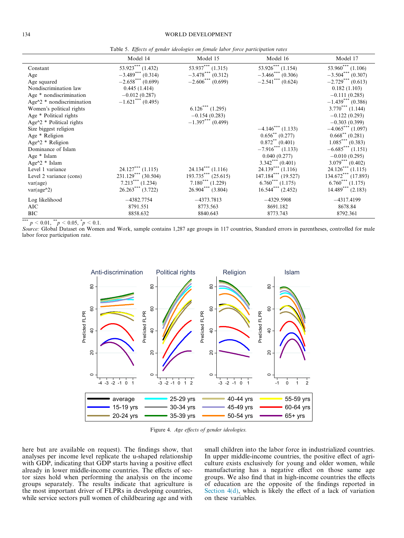#### <span id="page-12-0"></span>134 WORLD DEVELOPMENT

Table 5. Effects of gender ideologies on female labor force participation rates

|                                          | Model 14              | Model 15              | Model 16                   | Model 17                        |
|------------------------------------------|-----------------------|-----------------------|----------------------------|---------------------------------|
| Constant                                 | $53.923***$ (1.432)   | $53.937***$ $(1.315)$ | $53.926***$ (1.154)        | $53.960***$ (1.106)             |
|                                          | $-3.489***$ (0.314)   | $-3.478***$ (0.312)   | $-3.466$ *** (0.306)       | $-3.504***$ (0.307)             |
| Age                                      | $-2.658***(0.699)$    | $-2.606***$ (0.699)   | $-2.541***$ (0.624)        | $-2.729***$ (0.613)             |
| Age squared                              |                       |                       |                            |                                 |
| Nondiscrimination law                    | 0.445(1.414)          |                       |                            | 0.182(1.103)                    |
| Age * nondiscrimination                  | $-0.012(0.287)$       |                       |                            | $-0.111(0.285)$                 |
| Age $\textdegree{2}$ * nondiscrimination | $-1.621***$ (0.495)   |                       |                            | $-1.439***$ (0.386)             |
| Women's political rights                 |                       | $6.126***$ (1.295)    |                            | $3.770***$ (1.144)              |
| Age * Political rights                   |                       | $-0.154(0.283)$       |                            | $-0.122(0.293)$                 |
| Age $\textdegree$ 2 * Political rights   |                       | $-1.397***$ (0.499)   |                            | $-0.303(0.399)$                 |
| Size biggest religion                    |                       |                       | $-4.146***$ (1.133)        | $-4.065***$ (1.097)             |
| Age * Religion                           |                       |                       | $0.656^{**}$ (0.277)       | $0.668$ <sup>**</sup> $(0.281)$ |
| $Age^2$ * Religion                       |                       |                       | $0.872^{\ast\ast}$ (0.401) | $1.085***(0.383)$               |
| Dominance of Islam                       |                       |                       | $-7.916***$ (1.133)        | $-6.685***$ (1.151)             |
| Age * Islam                              |                       |                       | 0.040(0.277)               | $-0.010(0.295)$                 |
| Age $^*2$ * Islam                        |                       |                       | $3.342***(0.401)$          | $3.079***$ (0.402)              |
| Level 1 variance                         | $24.127***$ $(1.115)$ | $24.134***$ $(1.116)$ | $24.139***$ $(1.116)$      | $24.126***$ $(1.115)$           |
| Level 2 variance (cons)                  | 231.129*** (30.504)   | $193.735***$ (25.615) | 147.184*** (19.527)        | $134.672***$ (17.893)           |
| var(age)                                 | $7.213***(1.234)$     | $7.180***(1.229)$     | $6.760***$ $(1.175)$       | $6.760***$ $(1.175)$            |
| $var(age^2)$                             | $26.263***$ (3.722)   | $26.904***$ (3.804)   | $16.544***$ (2.452)        | $14.489***$ (2.183)             |
| Log likelihood                           | $-4382.7754$          | $-4373.7813$          | $-4329.5908$               | $-4317.4199$                    |
| AIC                                      | 8791.551              | 8773.563              | 8691.182                   | 8678.84                         |
| <b>BIC</b>                               | 8858.632              | 8840.643              | 8773.743                   | 8792.361                        |

\*\*\*  $p < 0.01$ ,  $\binom{**}{p} < 0.05$ ,  $\binom{*}{p} < 0.1$ .

Source: Global Dataset on Women and Work, sample contains 1,287 age groups in 117 countries, Standard errors in parentheses, controlled for male labor force participation rate.



Figure 4. Age effects of gender ideologies.

here but are available on request). The findings show, that analyses per income level replicate the u-shaped relationship with GDP, indicating that GDP starts having a positive effect already in lower middle-income countries. The effects of sector sizes hold when performing the analysis on the income groups separately. The results indicate that agriculture is the most important driver of FLPRs in developing countries, while service sectors pull women of childbearing age and with

small children into the labor force in industrialized countries. In upper middle-income countries, the positive effect of agriculture exists exclusively for young and older women, while manufacturing has a negative effect on those same age groups. We also find that in high-income countries the effects of education are the opposite of the findings reported in Section 4(d), which is likely the effect of a lack of variation on these variables.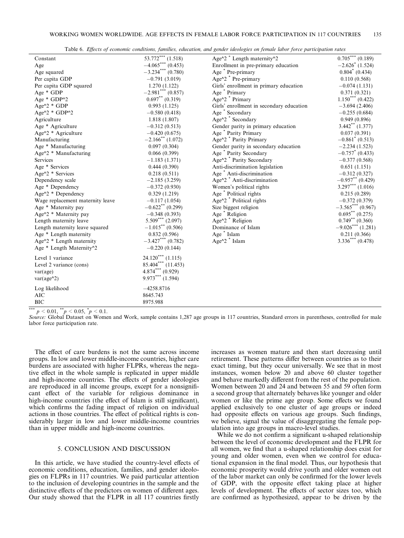<span id="page-13-0"></span>

| Constant                              | $53.772***$ $(1.518)$          | Age $^2$ <sup>*</sup> Length maternity <sup><math>\gamma</math>2</sup> | $0.705***$ $(0.189)$          |
|---------------------------------------|--------------------------------|------------------------------------------------------------------------|-------------------------------|
| Age                                   | $-4.065***$ (0.453)            | Enrollment in pre-primary education                                    | $-2.626^*$ (1.524)            |
| Age squared                           | $-3.234***$ (0.780)            | Age * Pre-primary                                                      | $0.804^*$ (0.434)             |
| Per capita GDP                        | $-0.791(3.019)$                | Age $^2$ <sup>*</sup> Pre-primary                                      | 0.110(0.568)                  |
| Per capita GDP squared                | 1.270(1.122)                   | Girls' enrollment in primary education                                 | $-0.074(1.131)$               |
| Age * GDP                             | $-2.981***$ (0.857)            | Age * Primary                                                          | 0.371(0.321)                  |
| Age * GDP^2                           | $0.697**$ (0.319)              | Age $^2$ <sup>*</sup> Primary                                          | $1.150***$ (0.422)            |
| Age^2 * GDP                           | 0.993(1.125)                   | Girls' enrollment in secondary education                               | $-3.694(2.406)$               |
| Age^2 * GDP^2                         | $-0.580(0.418)$                | Age * Secondary                                                        | $-0.255(0.684)$               |
| Agriculture                           | 1.818(1.807)                   | Age $^2$ <sup>*</sup> Secondary                                        | 0.949(0.896)                  |
| Age * Agriculture                     | $-0.312(0.513)$                | Gender parity in primary education                                     | $3.442**$ (1.377)             |
| Age^2 * Agriculture                   | $-0.420(0.675)$                | Age * Parity Primary                                                   | 0.037(0.391)                  |
| Manufacturing                         | $-2.166^{**}$ (1.072)          | Age <sup><math>\lambda</math></sup> <sup>*</sup> Parity Primary        | $-0.861^*$ (0.513)            |
| Age * Manufacturing                   | 0.097(0.304)                   | Gender parity in secondary education                                   | $-2.234(1.523)$               |
| Age^2 * Manufacturing                 | 0.066(0.399)                   | Age * Parity Secondary                                                 | $-0.757$ <sup>*</sup> (0.433) |
| Services                              | $-1.183(1.371)$                | Age <sup><math>\lambda</math></sup> <sup>*</sup> Parity Secondary      | $-0.377(0.568)$               |
| Age * Services                        | 0.444(0.390)                   | Anti-discrimination legislation                                        | 0.651(1.151)                  |
| Age^2 * Services                      | 0.218(0.511)                   | Age * Anti-discrimination                                              | $-0.312(0.327)$               |
| Dependency scale                      | $-2.185(3.259)$                | Age $^2$ <sup>*</sup> Anti-discrimination                              | $-0.957^{\ast\ast}$ (0.429)   |
| Age * Dependency                      | $-0.372(0.930)$                | Women's political rights                                               | $3.297***$ $(1.016)$          |
| Age^2 * Dependency                    | 0.329(1.219)                   | Age * Political rights                                                 | 0.215(0.289)                  |
| Wage replacement maternity leave      | $-0.117(1.054)$                | Age^2 * Political rights                                               | $-0.372(0.379)$               |
| Age * Maternity pay                   | $-0.622$ <sup>**</sup> (0.299) | Size biggest religion                                                  | $-3.565***(0.967)$            |
| Age^2 * Maternity pay                 | $-0.348(0.393)$                | Age * Religion                                                         | $0.695^{\ast\ast}$ (0.275)    |
| Length maternity leave                | $5.509***$ (2.097)             | Age^2 * Religion                                                       | $0.749^{**}$ $(0.360)$        |
| Length maternity leave squared        | $-1.015$ ** (0.506)            | Dominance of Islam                                                     | $-9.026***$ (1.281)           |
| Age * Length maternity                | 0.832(0.596)                   | Age * Islam                                                            | 0.211(0.366)                  |
| Age^2 * Length maternity              | $-3.427***$ (0.782)            | Age $^*$ 2 * Islam                                                     | $3.336***(0.478)$             |
| Age * Length Maternity <sup>1</sup> 2 | $-0.220(0.144)$                |                                                                        |                               |
| Level 1 variance                      | $24.120***$ $(1.115)$          |                                                                        |                               |
| Level 2 variance (cons)               | 85.404*** (11.453)             |                                                                        |                               |
| var(age)                              | $4.874***(0.929)$              |                                                                        |                               |
| $var(age^2)$                          | $9.973***$ $(1.594)$           |                                                                        |                               |
| Log likelihood                        | $-4258.8716$                   |                                                                        |                               |
| <b>AIC</b>                            | 8645.743                       |                                                                        |                               |
| <b>BIC</b>                            | 8975.988                       |                                                                        |                               |

Table 6. Effects of economic conditions, families, education, and gender ideologies on female labor force participation rates

\*\*\*  $p < 0.01$ , \*\* $p < 0.05$ , \* $p < 0.1$ .

Source: Global Dataset on Women and Work, sample contains 1,287 age groups in 117 countries, Standard errors in parentheses, controlled for male labor force participation rate.

The effect of care burdens is not the same across income groups. In low and lower middle-income countries, higher care burdens are associated with higher FLPRs, whereas the negative effect in the whole sample is replicated in upper middle and high-income countries. The effects of gender ideologies are reproduced in all income groups, except for a nonsignificant effect of the variable for religious dominance in high-income countries (the effect of Islam is still significant), which confirms the fading impact of religion on individual actions in those countries. The effect of political rights is considerably larger in low and lower middle-income countries than in upper middle and high-income countries.

#### 5. CONCLUSION AND DISCUSSION

In this article, we have studied the country-level effects of economic conditions, education, families, and gender ideologies on FLPRs in 117 countries. We paid particular attention to the inclusion of developing countries in the sample and the distinctive effects of the predictors on women of different ages. Our study showed that the FLPR in all 117 countries firstly

increases as women mature and then start decreasing until retirement. These patterns differ between countries as to their exact timing, but they occur universally. We see that in most instances, women below 20 and above 60 cluster together and behave markedly different from the rest of the population. Women between 20 and 24 and between 55 and 59 often form a second group that alternately behaves like younger and older women or like the prime age group. Some effects we found applied exclusively to one cluster of age groups or indeed had opposite effects on various age groups. Such findings, we believe, signal the value of disaggregating the female population into age groups in macro-level studies.

While we do not confirm a significant u-shaped relationship between the level of economic development and the FLPR for all women, we find that a u-shaped relationship does exist for young and older women, even when we control for educational expansion in the final model. Thus, our hypothesis that economic prosperity would drive youth and older women out of the labor market can only be confirmed for the lower levels of GDP, with the opposite effect taking place at higher levels of development. The effects of sector sizes too, which are confirmed as hypothesized, appear to be driven by the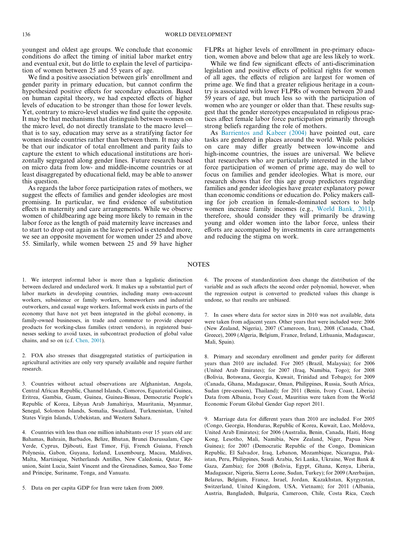youngest and oldest age groups. We conclude that economic conditions do affect the timing of initial labor market entry and eventual exit, but do little to explain the level of participation of women between 25 and 55 years of age.

We find a positive association between girls' enrollment and gender parity in primary education, but cannot confirm the hypothesized positive effects for secondary education. Based on human capital theory, we had expected effects of higher levels of education to be stronger than those for lower levels. Yet, contrary to micro-level studies we find quite the opposite. It may be that mechanisms that distinguish between women on the micro level, do not directly translate to the macro level that is to say, education may serve as a stratifying factor for women inside countries rather than between them. It may also be that our indicator of total enrollment and parity fails to capture the extent to which educational institutions are horizontally segregated along gender lines. Future research based on micro data from low- and middle-income countries or at least disaggregated by educational field, may be able to answer this question.

As regards the labor force participation rates of mothers, we suggest the effects of families and gender ideologies are most promising. In particular, we find evidence of substitution effects in maternity and care arrangements. While we observe women of childbearing age being more likely to remain in the labor force as the length of paid maternity leave increases and to start to drop out again as the leave period is extended more, we see an opposite movement for women under 25 and above 55. Similarly, while women between 25 and 59 have higher FLPRs at higher levels of enrollment in pre-primary education, women above and below that age are less likely to work.

While we find few significant effects of anti-discrimination legislation and positive effects of political rights for women of all ages, the effects of religion are largest for women of prime age. We find that a greater religious heritage in a country is associated with lower FLPRs of women between 20 and 59 years of age, but much less so with the participation of women who are younger or older than that. These results suggest that the gender stereotypes encapsulated in religious practices affect female labor force participation primarily through strong beliefs regarding the role of mothers.

As [Barrientos and Kabeer \(2004\)](#page-15-0) have pointed out, care tasks are gendered in places around the world. While policies on care may differ greatly between low-income and high-income countries, the issues are universal. We believe that researchers who are particularly interested in the labor force participation of women of prime age, may do well to focus on families and gender ideologies. What is more, our research shows that for this age group predictors regarding families and gender ideologies have greater explanatory power than economic conditions or education do. Policy makers calling for job creation in female-dominated sectors to help women increase family incomes (e.g., [World Bank, 2011](#page-16-0)), therefore, should consider they will primarily be drawing young and older women into the labor force, unless their efforts are accompanied by investments in care arrangements and reducing the stigma on work.

#### **NOTES**

1. We interpret informal labor is more than a legalistic distinction between declared and undeclared work. It makes up a substantial part of labor markets in developing countries, including many own-account workers, subsistence or family workers, homeworkers and industrial outworkers, and casual wage workers. Informal work exists in parts of the economy that have not yet been integrated in the global economy, in family-owned businesses, in trade and commerce to provide cheaper products for working-class families (street vendors), in registered businesses seeking to avoid taxes, in subcontract production of global value chains, and so on (c.f. [Chen, 2001](#page-15-0)).

2. FOA also stresses that disaggregated statistics of participation in agricultural activities are only very sparsely available and require further research.

3. Countries without actual observations are Afghanistan, Angola, Central African Republic, Channel Islands, Comoros, Equatorial Guinea, Eritrea, Gambia, Guam, Guinea, Guinea-Bissau, Democratic People's Republic of Korea, Libyan Arab Jamahiriya, Mauritania, Myanmar, Senegal, Solomon Islands, Somalia, Swaziland, Turkmenistan, United States Virgin Islands, Uzbekistan, and Western Sahara.

4. Countries with less than one million inhabitants over 15 years old are: Bahamas, Bahrain, Barbados, Belize, Bhutan, Brunei Darussalam, Cape Verde, Cyprus, Djibouti, East Timor, Fiji, French Guiana, French Polynesia, Gabon, Guyana, Iceland, Luxembourg, Macau, Maldives, Malta, Martinique, Netherlands Antilles, New Caledonia, Oatar, Réunion, Saint Lucia, Saint Vincent and the Grenadines, Samoa, Sao Tome and Principe, Suriname, Tonga, and Vanuatu.

5. Data on per capita GDP for Iran were taken from 2009.

6. The process of standardization does change the distribution of the variable and as such affects the second order polynomial, however, when the regression output is converted to predicted values this change is undone, so that results are unbiased.

7. In cases where data for sector sizes in 2010 was not available, data were taken from adjacent years. Other years that were included were: 2006 (New Zealand, Nigeria), 2007 (Cameroon, Iran), 2008 (Canada, Chad, Greece), 2009 (Algeria, Belgium, France, Ireland, Lithuania, Madagascar, Mali, Spain).

8. Primary and secondary enrollment and gender parity for different years than 2010 are included. For 2005 (Brazil, Malaysia); for 2006 (United Arab Emirates); for 2007 (Iraq, Namibia, Togo); for 2008 (Bolivia, Botswana, Georgia, Kuwait, Trinidad and Tobago); for 2009 (Canada, Ghana, Madagascar, Oman, Philippines, Russia, South Africa, Sudan (pre-cession), Thailand); for 2011 (Benin, Ivory Coast, Liberia) Data from Albania, Ivory Coast, Mauritius were taken from the World Economic Forum Global Gender Gap report 2011.

9. Marriage data for different years than 2010 are included. For 2005 (Congo, Georgia, Honduras, Republic of Korea, Kuwait, Lao, Moldova, United Arab Emirates); for 2006 (Australia, Benin, Canada, Haiti, Hong Kong, Lesotho, Mali, Namibia, New Zealand, Niger, Papua New Guinea); for 2007 (Democratic Republic of the Congo, Dominican Republic, El Salvador, Iraq, Lebanon, Mozambique, Nicaragua, Pakistan, Peru, Philippines, Saudi Arabia, Sri Lanka, Ukraine, West Bank & Gaza, Zambia); for 2008 (Bolivia, Egypt, Ghana, Kenya, Liberia, Madagascar, Nigeria, Sierra Leone, Sudan, Turkey); for 2009 (Azerbaijan, Belarus, Belgium, France, Israel, Jordan, Kazakhstan, Kyrgyzstan, Switzerland, United Kingdom, USA, Vietnam); for 2011 (Albania, Austria, Bangladesh, Bulgaria, Cameroon, Chile, Costa Rica, Czech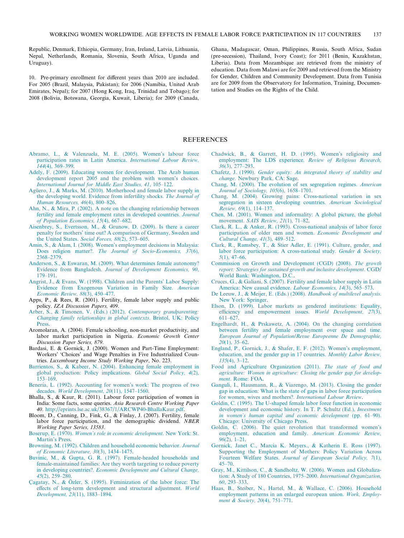<span id="page-15-0"></span>Republic, Denmark, Ethiopia, Germany, Iran, Ireland, Latvia, Lithuania, Nepal, Netherlands, Romania, Slovenia, South Africa, Uganda and Uruguay).

10. Pre-primary enrollment for different years than 2010 are included. For 2005 (Brazil, Malaysia, Pakistan); for 2006 (Namibia, United Arab Emirates, Nepal); for 2007 (Hong Kong, Iraq, Trinidad and Tobago); for 2008 (Bolivia, Botswana, Georgia, Kuwait, Liberia); for 2009 (Canada, Ghana, Madagascar, Oman, Philippines, Russia, South Africa, Sudan (pre-secession), Thailand, Ivory Coast); for 2011 (Benin, Kazakhstan, Liberia). Data from Mozambique are retrieved from the ministry of education. Data from Malawi are for 2009 and retrieved from the Ministry for Gender, Children and Community Development. Data from Tunisia are for 2009 from the Observatory for Information, Training, Documentation and Studies on the Rights of the Child.

#### REFERENCES

- [Abramo, L., & Valenzuela, M. E. \(2005\). Women's labour force](http://refhub.elsevier.com/S0305-750X(15)00099-6/h0005) [participation rates in Latin America.](http://refhub.elsevier.com/S0305-750X(15)00099-6/h0005) International Labour Review, [144](http://refhub.elsevier.com/S0305-750X(15)00099-6/h0005)(4[\), 369–399.](http://refhub.elsevier.com/S0305-750X(15)00099-6/h0005)
- [Adely, F. \(2009\). Educating women for development. The Arab human](http://refhub.elsevier.com/S0305-750X(15)00099-6/h0010) [development report 2005 and the problem with women's choices.](http://refhub.elsevier.com/S0305-750X(15)00099-6/h0010) [International Journal for Middle East Studies, 41](http://refhub.elsevier.com/S0305-750X(15)00099-6/h0010)[, 105–122](http://refhub.elsevier.com/S0305-750X(15)00099-6/h0010).
- Agüero, J., & Marks, M. (2010). Motherhood and female labor supply in [the developing world. Evidence from infertility shocks.](http://refhub.elsevier.com/S0305-750X(15)00099-6/h0015) The Journal of [Human Resources, 46](http://refhub.elsevier.com/S0305-750X(15)00099-6/h0015)(4)[, 800–826](http://refhub.elsevier.com/S0305-750X(15)00099-6/h0015).
- [Ahn, N., & Mira, P. \(2002\). A note on the changing relationship between](http://refhub.elsevier.com/S0305-750X(15)00099-6/h0020) [fertility and female employment rates in developed countries.](http://refhub.elsevier.com/S0305-750X(15)00099-6/h0020) Journal [of Population Economics, 15](http://refhub.elsevier.com/S0305-750X(15)00099-6/h0020)(4)[, 667–682](http://refhub.elsevier.com/S0305-750X(15)00099-6/h0020).
- [Aisenbrey, S., Evertsson, M., & Grunow, D. \(2009\). Is there a career](http://refhub.elsevier.com/S0305-750X(15)00099-6/h0025) [penalty for mothers' time out? A comparison of Germany, Sweden and](http://refhub.elsevier.com/S0305-750X(15)00099-6/h0025) [the United States.](http://refhub.elsevier.com/S0305-750X(15)00099-6/h0025) Social Forces, 88(2)[, 573–605](http://refhub.elsevier.com/S0305-750X(15)00099-6/h0025).
- [Amin, S., & Alam, I. \(2008\). Women's employment decisions in Malaysia:](http://refhub.elsevier.com/S0305-750X(15)00099-6/h0030) Does religion matter?. [The Journal of Socio-Economics, 37](http://refhub.elsevier.com/S0305-750X(15)00099-6/h0030)(6[\),](http://refhub.elsevier.com/S0305-750X(15)00099-6/h0030) [2368–2379.](http://refhub.elsevier.com/S0305-750X(15)00099-6/h0030)
- [Anderson, S., & Eswaran, M. \(2009\). What determines female autonomy?](http://refhub.elsevier.com/S0305-750X(15)00099-6/h0035) Evidence from Bangladesh. [Journal of Development Economics, 90](http://refhub.elsevier.com/S0305-750X(15)00099-6/h0035)[,](http://refhub.elsevier.com/S0305-750X(15)00099-6/h0035) [179–191.](http://refhub.elsevier.com/S0305-750X(15)00099-6/h0035)
- [Angrist, J., & Evans, W. \(1998\). Children and the Parents' Labor Supply:](http://refhub.elsevier.com/S0305-750X(15)00099-6/h9000) [Evidence from Exogenous Variation in Family Size.](http://refhub.elsevier.com/S0305-750X(15)00099-6/h9000) American [Economic Review, 88](http://refhub.elsevier.com/S0305-750X(15)00099-6/h9000)(3)[, 450–477](http://refhub.elsevier.com/S0305-750X(15)00099-6/h9000).
- Apps, P., & Rees, R. (2001). Fertility, female labor supply and public policy. IZA Discussion Papers, 409.
- [Arber, S., & Timonen, V. \(Eds.\) \(2012\).](http://refhub.elsevier.com/S0305-750X(15)00099-6/h0045) Contemporary grandparenting: [Changing family relationships in global contexts](http://refhub.elsevier.com/S0305-750X(15)00099-6/h0045)[. Bristol, UK: Policy](http://refhub.elsevier.com/S0305-750X(15)00099-6/h0045) [Press.](http://refhub.elsevier.com/S0305-750X(15)00099-6/h0045)
- Aromolaran, A. (2004). Female schooling, non-market productivity, and labor market participation in Nigeria. Economic Growth Center Discussion Paper Series, 879.
- Bardasi, E. & Gornick, J. (2000). Women and Part-Time Employment: Workers' 'Choices' and Wage Penalties in Five Industrialized Countries. Luxembourg Income Study Working Paper, No. 223.
- [Barrientos, S., & Kabeer, N. \(2004\). Enhancing female employment in](http://refhub.elsevier.com/S0305-750X(15)00099-6/h0060) [global production: Policy implications.](http://refhub.elsevier.com/S0305-750X(15)00099-6/h0060) Global Social Policy, 4(2[\),](http://refhub.elsevier.com/S0305-750X(15)00099-6/h0060) [153–169.](http://refhub.elsevier.com/S0305-750X(15)00099-6/h0060)
- Benería, L. (1992). Accounting for women's work: The progress of two decades. [World Development, 20](http://refhub.elsevier.com/S0305-750X(15)00099-6/h0065)(11)[, 1547–1560](http://refhub.elsevier.com/S0305-750X(15)00099-6/h0065).
- Bhalla, S., & Kaur, R. (2011). Labour force participation of women in India: Some facts, some queries. Asia Research Centre Working Paper 40. [http://eprints.lse.ac.uk/38367/1/ARCWP40-BhallaKaur.pdf.](http://www.eprints.lse.ac.uk/38367/1/ARCWP40-BhallaKaur.pdf)
- Bloom, D., Canning, D., Fink, G., & Finlay, J. (2007). Fertility, female labor force participation, and the demographic dividend. NBER Working Paper Series, 13583.
- Boserup, E. (1970). [Women's role in economic development](http://refhub.elsevier.com/S0305-750X(15)00099-6/h0080)[. New York: St.](http://refhub.elsevier.com/S0305-750X(15)00099-6/h0080) [Martin's Press.](http://refhub.elsevier.com/S0305-750X(15)00099-6/h0080)
- [Browning, M. \(1992\). Children and household economic behavior.](http://refhub.elsevier.com/S0305-750X(15)00099-6/h0085) Journal [of Economic Literature, 30](http://refhub.elsevier.com/S0305-750X(15)00099-6/h0085)(3[\), 1434–1475.](http://refhub.elsevier.com/S0305-750X(15)00099-6/h0085)
- [Buvinic, M., & Gupta, G. R. \(1997\). Female-headed households and](http://refhub.elsevier.com/S0305-750X(15)00099-6/h0090) [female-maintained families: Are they worth targeting to reduce poverty](http://refhub.elsevier.com/S0305-750X(15)00099-6/h0090) in developing countries?. [Economic Development and Cultural Change,](http://refhub.elsevier.com/S0305-750X(15)00099-6/h0090) 45[\(2\), 259–280.](http://refhub.elsevier.com/S0305-750X(15)00099-6/h0090)
- Cagatay, N., & Ö[zler, S. \(1995\). Feminization of the labor force: The](http://refhub.elsevier.com/S0305-750X(15)00099-6/h0095) [effects of long-term development and structural adjustment.](http://refhub.elsevier.com/S0305-750X(15)00099-6/h0095) World [Development, 23](http://refhub.elsevier.com/S0305-750X(15)00099-6/h0095)(11[\), 1883–1894.](http://refhub.elsevier.com/S0305-750X(15)00099-6/h0095)
- [Chadwick, B., & Garrett, H. D. \(1995\). Women's religiosity and](http://refhub.elsevier.com/S0305-750X(15)00099-6/h0100) [employment: The LDS experience.](http://refhub.elsevier.com/S0305-750X(15)00099-6/h0100) Review of Religious Research, 36[\(3\), 277–293.](http://refhub.elsevier.com/S0305-750X(15)00099-6/h0100)
- Chafetz, J. (1990). [Gender equity: An integrated theory of stability and](http://refhub.elsevier.com/S0305-750X(15)00099-6/h0105) [change](http://refhub.elsevier.com/S0305-750X(15)00099-6/h0105)[. Newbury Park, CA: Sage](http://refhub.elsevier.com/S0305-750X(15)00099-6/h0105).
- [Chang, M. \(2000\). The evolution of sex segregation regimes.](http://refhub.elsevier.com/S0305-750X(15)00099-6/h0110) American [Journal of Sociology, 105](http://refhub.elsevier.com/S0305-750X(15)00099-6/h0110)(6)[, 1658–1701](http://refhub.elsevier.com/S0305-750X(15)00099-6/h0110).
- [Chang, M. \(2004\). Growing pains: Cross-national variation in sex](http://refhub.elsevier.com/S0305-750X(15)00099-6/h0115) [segregation in sixteen developing countries.](http://refhub.elsevier.com/S0305-750X(15)00099-6/h0115) American Sociological [Review, 69](http://refhub.elsevier.com/S0305-750X(15)00099-6/h0115)(1)[, 114–137](http://refhub.elsevier.com/S0305-750X(15)00099-6/h0115).
- [Chen, M. \(2001\). Women and informality: A global picture, the global](http://refhub.elsevier.com/S0305-750X(15)00099-6/h0120) movement. [SAIS Review, 21](http://refhub.elsevier.com/S0305-750X(15)00099-6/h0120)(1[\), 71–82.](http://refhub.elsevier.com/S0305-750X(15)00099-6/h0120)
- [Clark, R. L., & Anker, R. \(1993\). Cross-national analysis of labor force](http://refhub.elsevier.com/S0305-750X(15)00099-6/h0125) [participation of older men and women.](http://refhub.elsevier.com/S0305-750X(15)00099-6/h0125) Economic Development and [Cultural Change, 41](http://refhub.elsevier.com/S0305-750X(15)00099-6/h0125)(3)[, 489–512](http://refhub.elsevier.com/S0305-750X(15)00099-6/h0125).
- [Clark, R., Ramsbey, T., & Stier Adler, E. \(1991\). Culture, gender, and](http://refhub.elsevier.com/S0305-750X(15)00099-6/h0130) [labor force participation: A cross-national study.](http://refhub.elsevier.com/S0305-750X(15)00099-6/h0130) Gender & Society, 5[\(1\), 47–66](http://refhub.elsevier.com/S0305-750X(15)00099-6/h0130).
- [Commission on Growth and Development \(CGD\) \(2008\).](http://refhub.elsevier.com/S0305-750X(15)00099-6/h0135) The growth [report: Strategies for sustained growth and inclusive development](http://refhub.elsevier.com/S0305-750X(15)00099-6/h0135)[. CGD/](http://refhub.elsevier.com/S0305-750X(15)00099-6/h0135) [World Bank: Washington, D.C.](http://refhub.elsevier.com/S0305-750X(15)00099-6/h0135).
- [Cruces, G., & Galiani, S. \(2007\). Fertility and female labor supply in Latin](http://refhub.elsevier.com/S0305-750X(15)00099-6/h0140) [America: New causal evidence.](http://refhub.elsevier.com/S0305-750X(15)00099-6/h0140) *Labour Economics*, 14(3)[, 565–573.](http://refhub.elsevier.com/S0305-750X(15)00099-6/h0140)
- [De Leeuw, J., & Meijer, E. \(Eds.\) \(2008\).](http://refhub.elsevier.com/S0305-750X(15)00099-6/h0145) Handbook of multilevel analysis[.](http://refhub.elsevier.com/S0305-750X(15)00099-6/h0145) [New York: Springer](http://refhub.elsevier.com/S0305-750X(15)00099-6/h0145).
- [Elson, D. \(1999\). Labor markets as gendered institutions: Equality,](http://refhub.elsevier.com/S0305-750X(15)00099-6/h0150) [efficiency and empowerment issues.](http://refhub.elsevier.com/S0305-750X(15)00099-6/h0150) World Development, 27(3[\),](http://refhub.elsevier.com/S0305-750X(15)00099-6/h0150) [611–627.](http://refhub.elsevier.com/S0305-750X(15)00099-6/h0150)
- [Engelhardt, H., & Prskawetz, A. \(2004\). On the changing correlation](http://refhub.elsevier.com/S0305-750X(15)00099-6/h0155) [between fertility and female employment over space and time.](http://refhub.elsevier.com/S0305-750X(15)00099-6/h0155) [European Journal of Population/Revue Europeenne De Demographie,](http://refhub.elsevier.com/S0305-750X(15)00099-6/h0155)  $20(1)$ , 35–62.
- [England, P., Gornick, J., & Shafer, E. F. \(2012\). Women's employment,](http://refhub.elsevier.com/S0305-750X(15)00099-6/h0160) [education, and the gender gap in 17 countries.](http://refhub.elsevier.com/S0305-750X(15)00099-6/h0160) Monthly Labor Review, [135](http://refhub.elsevier.com/S0305-750X(15)00099-6/h0160)(4[\), 3–12](http://refhub.elsevier.com/S0305-750X(15)00099-6/h0160).
- [Food and Agriculture Organization \(2011\).](http://refhub.elsevier.com/S0305-750X(15)00099-6/h0165) The state of food and [agriculture: Women in agriculture: Closing the gender gap for develop](http://refhub.elsevier.com/S0305-750X(15)00099-6/h0165)[ment](http://refhub.elsevier.com/S0305-750X(15)00099-6/h0165)[. Rome: FOA](http://refhub.elsevier.com/S0305-750X(15)00099-6/h0165).
- [Ganguli, I., Hausmann, R., & Viarengo, M. \(2013\). Closing the gender](http://refhub.elsevier.com/S0305-750X(15)00099-6/h0170) [gap in education: What is the state of gaps in labor force participation](http://refhub.elsevier.com/S0305-750X(15)00099-6/h0170) [for women, wives and mothers?.](http://refhub.elsevier.com/S0305-750X(15)00099-6/h0170) International Labour Review.
- [Goldin, C. \(1995\). The U-shaped female labor force function in economic](http://refhub.elsevier.com/S0305-750X(15)00099-6/h0175) [development and economic history. In T. P. Schultz \(Ed.\),](http://refhub.elsevier.com/S0305-750X(15)00099-6/h0175) Investment [in women's human capital and economic development](http://refhub.elsevier.com/S0305-750X(15)00099-6/h0175) [\(pp. 61–90\).](http://refhub.elsevier.com/S0305-750X(15)00099-6/h0175) [Chicago: University of Chicago Press.](http://refhub.elsevier.com/S0305-750X(15)00099-6/h0175)
- [Goldin, C. \(2006\). The quiet revolution that transformed women's](http://refhub.elsevier.com/S0305-750X(15)00099-6/h9005) [employment, education and family.](http://refhub.elsevier.com/S0305-750X(15)00099-6/h9005) American Economic Review, 96[\(2\), 1–21](http://refhub.elsevier.com/S0305-750X(15)00099-6/h9005).
- [Gornick, Janet C., Marcia K. Meyers., & Katherin E. Ross \(1997\).](http://refhub.elsevier.com/S0305-750X(15)00099-6/h0180) [Supporting the Employment of Mothers: Policy Variation Across](http://refhub.elsevier.com/S0305-750X(15)00099-6/h0180) Fourteen Welfare States. [Journal of European Social Policy, 7](http://refhub.elsevier.com/S0305-750X(15)00099-6/h0180)(1[\),](http://refhub.elsevier.com/S0305-750X(15)00099-6/h0180) [45–70.](http://refhub.elsevier.com/S0305-750X(15)00099-6/h0180)
- [Gray, M., Kittilson, C., & Sandholtz, W. \(2006\). Women and Globaliza](http://refhub.elsevier.com/S0305-750X(15)00099-6/h9015)[tion: A Study of 180 Countries, 1975–2000.](http://refhub.elsevier.com/S0305-750X(15)00099-6/h9015) International Organization, [60](http://refhub.elsevier.com/S0305-750X(15)00099-6/h9015)[, 293–333.](http://refhub.elsevier.com/S0305-750X(15)00099-6/h9015)
- [Haas, B., Steiber, N., Hartel, M., & Wallace, C. \(2006\). Household](http://refhub.elsevier.com/S0305-750X(15)00099-6/h0185) [employment patterns in an enlarged european union.](http://refhub.elsevier.com/S0305-750X(15)00099-6/h0185) Work, Employ[ment & Society, 20](http://refhub.elsevier.com/S0305-750X(15)00099-6/h0185)(4)[, 751–771.](http://refhub.elsevier.com/S0305-750X(15)00099-6/h0185)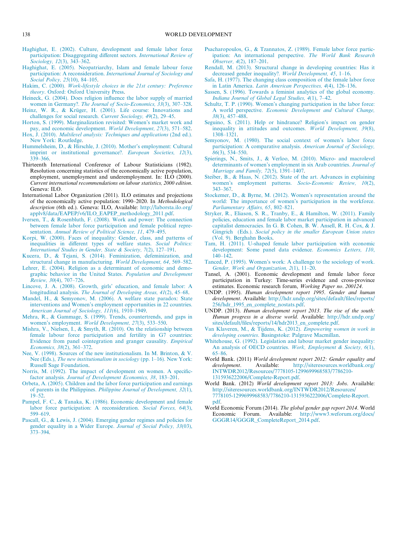#### <span id="page-16-0"></span>138 WORLD DEVELOPMENT

- [Haghighat, E. \(2002\). Culture, development and female labor force](http://refhub.elsevier.com/S0305-750X(15)00099-6/h0190) [participation: Disaggregating different sectors.](http://refhub.elsevier.com/S0305-750X(15)00099-6/h0190) International Review of [Sociology, 12](http://refhub.elsevier.com/S0305-750X(15)00099-6/h0190)(3), 343-362.
- [Haghighat, E. \(2005\). Neopatriarchy, Islam and female labour force](http://refhub.elsevier.com/S0305-750X(15)00099-6/h0195) participation: A reconsideration. [International Journal of Sociology and](http://refhub.elsevier.com/S0305-750X(15)00099-6/h0195) [Social Policy, 25](http://refhub.elsevier.com/S0305-750X(15)00099-6/h0195)(10), 84-105.
- Hakim, C. (2000). [Work-lifestyle choices in the 21st century: Preference](http://refhub.elsevier.com/S0305-750X(15)00099-6/h0200) [theory](http://refhub.elsevier.com/S0305-750X(15)00099-6/h0200)[. Oxford: Oxford University Press](http://refhub.elsevier.com/S0305-750X(15)00099-6/h0200).
- [Heineck, G. \(2004\). Does religion influence the labor supply of married](http://refhub.elsevier.com/S0305-750X(15)00099-6/h0205) women in Germany?. [The Journal of Socio-Economics, 33](http://refhub.elsevier.com/S0305-750X(15)00099-6/h0205)(3[\), 307–328.](http://refhub.elsevier.com/S0305-750X(15)00099-6/h0205)
- Heinz, W. R., & Krüger, H. (2001). Life course: Innovations and [challenges for social research.](http://refhub.elsevier.com/S0305-750X(15)00099-6/h0210) Current Sociology, 49(2)[, 29–45.](http://refhub.elsevier.com/S0305-750X(15)00099-6/h0210)
- [Horton, S. \(1999\). Marginalization revisited: Women's market work and](http://refhub.elsevier.com/S0305-750X(15)00099-6/h0215) [pay, and economic development.](http://refhub.elsevier.com/S0305-750X(15)00099-6/h0215) World Development, 27(3)[, 571–582](http://refhub.elsevier.com/S0305-750X(15)00099-6/h0215).
- Hox, J. (2010). [Multilevel analysis: Techniques and applications](http://refhub.elsevier.com/S0305-750X(15)00099-6/h0220) (2nd ed[.](http://refhub.elsevier.com/S0305-750X(15)00099-6/h0220)). [New York: Routledge.](http://refhub.elsevier.com/S0305-750X(15)00099-6/h0220)
- [Hummelsheim, D., & Hirschle, J. \(2010\). Mother's employment: Cultural](http://refhub.elsevier.com/S0305-750X(15)00099-6/h0225) [imprint or institutional governance?.](http://refhub.elsevier.com/S0305-750X(15)00099-6/h0225) European Societies[,](http://refhub.elsevier.com/S0305-750X(15)00099-6/h0225) 12(3), [339–366](http://refhub.elsevier.com/S0305-750X(15)00099-6/h0225).
- Thirteenth International Conference of Labour Statisticians (1982). Resolution concerning statistics of the economically active population, employment, unemployment and underemployment. In: ILO (2000). Current international recommendations on labour statistics, 2000 edition. Geneva: ILO.
- International Labor Organization (2011). ILO estimates and projections of the economically active population: 1990–2020. In Methodological description (6th ed.). Geneva: ILO, Available: [http://laborsta.ilo.org/](http://www.laborsta.ilo.org/applv8/data/EAPEP/v6/ILO_EAPEP_methodology_2011.pdf) [applv8/data/EAPEP/v6/ILO\\_EAPEP\\_methodology\\_2011.pdf.](http://www.laborsta.ilo.org/applv8/data/EAPEP/v6/ILO_EAPEP_methodology_2011.pdf)
- [Iversen, T., & Rosenbluth, F. \(2008\). Work and power: The connection](http://refhub.elsevier.com/S0305-750X(15)00099-6/h0240) [between female labor force participation and female political repre-](http://refhub.elsevier.com/S0305-750X(15)00099-6/h0240)sentation. [Annual Review of Political Science, 11](http://refhub.elsevier.com/S0305-750X(15)00099-6/h0240)[, 479–495](http://refhub.elsevier.com/S0305-750X(15)00099-6/h0240).
- [Korpi, W. \(2000\). Faces of inequality: Gender, class, and patterns of](http://refhub.elsevier.com/S0305-750X(15)00099-6/h0245) [inequalities in different types of welfare states.](http://refhub.elsevier.com/S0305-750X(15)00099-6/h0245) Social Politics: [International Studies in Gender, State & Society, 7](http://refhub.elsevier.com/S0305-750X(15)00099-6/h0245)(2[\), 127–191.](http://refhub.elsevier.com/S0305-750X(15)00099-6/h0245)
- [Kucera, D., & Tejani, S. \(2014\). Feminization, defeminization, and](http://refhub.elsevier.com/S0305-750X(15)00099-6/h0250) [structural change in manufacturing.](http://refhub.elsevier.com/S0305-750X(15)00099-6/h0250) World Development, 64[, 569–582.](http://refhub.elsevier.com/S0305-750X(15)00099-6/h0250)
- [Lehrer, E. \(2004\). Religion as a determinant of economic and demo](http://refhub.elsevier.com/S0305-750X(15)00099-6/h0255)[graphic behavior in the United States.](http://refhub.elsevier.com/S0305-750X(15)00099-6/h0255) Population and Development [Review, 30](http://refhub.elsevier.com/S0305-750X(15)00099-6/h0255)(4)[, 707–726.](http://refhub.elsevier.com/S0305-750X(15)00099-6/h0255)
- [Lincove, J. A. \(2008\). Growth, girls' education, and female labor: A](http://refhub.elsevier.com/S0305-750X(15)00099-6/h0260) longitudinal analysis. [The Journal of Developing Areas, 41](http://refhub.elsevier.com/S0305-750X(15)00099-6/h0260)(2)[, 45–68.](http://refhub.elsevier.com/S0305-750X(15)00099-6/h0260)
- [Mandel, H., & Semyonov, M. \(2006\). A welfare state paradox: State](http://refhub.elsevier.com/S0305-750X(15)00099-6/h0265) [interventions and Women's employment opportunities in 22 countries.](http://refhub.elsevier.com/S0305-750X(15)00099-6/h0265) [American Journal of Sociology, 111](http://refhub.elsevier.com/S0305-750X(15)00099-6/h0265)(6[\), 1910–1949.](http://refhub.elsevier.com/S0305-750X(15)00099-6/h0265)
- [Mehra, R., & Gammage, S. \(1999\). Trends, countertrends, and gaps in](http://refhub.elsevier.com/S0305-750X(15)00099-6/h0270) women's employment. [World Development, 27](http://refhub.elsevier.com/S0305-750X(15)00099-6/h0270)(3[\), 533–550.](http://refhub.elsevier.com/S0305-750X(15)00099-6/h0270)
- [Mishra, V., Nielsen, I., & Smyth, R. \(2010\). On the relationship between](http://refhub.elsevier.com/S0305-750X(15)00099-6/h0275) [female labour force participation and fertility in G7 countries:](http://refhub.elsevier.com/S0305-750X(15)00099-6/h0275) [Evidence from panel cointegration and granger causality.](http://refhub.elsevier.com/S0305-750X(15)00099-6/h0275) Empirical [Economics, 38](http://refhub.elsevier.com/S0305-750X(15)00099-6/h0275)(2)[, 361–372](http://refhub.elsevier.com/S0305-750X(15)00099-6/h0275).
- [Nee, V. \(1998\). Sources of the new institutionalism. In M. Brinton, & V.](http://refhub.elsevier.com/S0305-750X(15)00099-6/h0280) Nee (Eds.), [The new institutionalism in sociology](http://refhub.elsevier.com/S0305-750X(15)00099-6/h0280) [\(pp. 1–16\). New York:](http://refhub.elsevier.com/S0305-750X(15)00099-6/h0280) [Russell Sage Foundation](http://refhub.elsevier.com/S0305-750X(15)00099-6/h0280).
- [Norris, M. \(1992\). The impact of development on women. A specific](http://refhub.elsevier.com/S0305-750X(15)00099-6/h0285)factor analysis. [Journal of Development Economics, 38](http://refhub.elsevier.com/S0305-750X(15)00099-6/h0285)[, 183–201](http://refhub.elsevier.com/S0305-750X(15)00099-6/h0285).
- [Orbeta, A. \(2005\). Children and the labor force participation and earnings](http://refhub.elsevier.com/S0305-750X(15)00099-6/h0290) of parents in the Philippines. [Philippine Journal of Development, 32](http://refhub.elsevier.com/S0305-750X(15)00099-6/h0290)(1)[,](http://refhub.elsevier.com/S0305-750X(15)00099-6/h0290) [19–52](http://refhub.elsevier.com/S0305-750X(15)00099-6/h0290).
- [Pampel, F. C., & Tanaka, K. \(1986\). Economic development and female](http://refhub.elsevier.com/S0305-750X(15)00099-6/h0295) [labor force participation: A reconsideration.](http://refhub.elsevier.com/S0305-750X(15)00099-6/h0295) Social Forces, 64(3)[,](http://refhub.elsevier.com/S0305-750X(15)00099-6/h0295) [599–619](http://refhub.elsevier.com/S0305-750X(15)00099-6/h0295).
- [Pascall, G., & Lewis, J. \(2004\). Emerging gender regimes and policies for](http://refhub.elsevier.com/S0305-750X(15)00099-6/h0300) [gender equality in a Wider Europe.](http://refhub.elsevier.com/S0305-750X(15)00099-6/h0300) Journal of Social Policy, 33(03)[,](http://refhub.elsevier.com/S0305-750X(15)00099-6/h0300) [373–394](http://refhub.elsevier.com/S0305-750X(15)00099-6/h0300).
- [Psacharopoulos, G., & Tzannatos, Z. \(1989\). Female labor force partic](http://refhub.elsevier.com/S0305-750X(15)00099-6/h0305)[ipation: An international perspective.](http://refhub.elsevier.com/S0305-750X(15)00099-6/h0305) The World Bank Research [Observer, 4](http://refhub.elsevier.com/S0305-750X(15)00099-6/h0305)(2[\), 187–201.](http://refhub.elsevier.com/S0305-750X(15)00099-6/h0305)
- [Rendall, M. \(2013\). Structural change in developing countries: Has it](http://refhub.elsevier.com/S0305-750X(15)00099-6/h0310) [decreased gender inequality?.](http://refhub.elsevier.com/S0305-750X(15)00099-6/h0310) World Development, 45[, 1–16.](http://refhub.elsevier.com/S0305-750X(15)00099-6/h0310)
- [Safa, H. \(1977\). The changing class composition of the female labor force](http://refhub.elsevier.com/S0305-750X(15)00099-6/h0315) in Latin America. [Latin American Perspectives, 4](http://refhub.elsevier.com/S0305-750X(15)00099-6/h0315)(4[\), 126–136.](http://refhub.elsevier.com/S0305-750X(15)00099-6/h0315)
- [Sassen, S. \(1996\). Towards a feminist analytics of the global economy.](http://refhub.elsevier.com/S0305-750X(15)00099-6/h0320) [Indiana Journal of Global Legal Studies, 4](http://refhub.elsevier.com/S0305-750X(15)00099-6/h0320)(1[\), 7–42](http://refhub.elsevier.com/S0305-750X(15)00099-6/h0320).
- [Schultz, T. P. \(1990\). Women's changing participation in the labor force:](http://refhub.elsevier.com/S0305-750X(15)00099-6/h0325) A world perspective. [Economic Development and Cultural Change,](http://refhub.elsevier.com/S0305-750X(15)00099-6/h0325) 38[\(3\), 457–488](http://refhub.elsevier.com/S0305-750X(15)00099-6/h0325).
- [Seguino, S. \(2011\). Help or hindrance? Religion's impact on gender](http://refhub.elsevier.com/S0305-750X(15)00099-6/h0330) [inequality in attitudes and outcomes.](http://refhub.elsevier.com/S0305-750X(15)00099-6/h0330) World Development[,](http://refhub.elsevier.com/S0305-750X(15)00099-6/h0330) 39(8), [1308–1321](http://refhub.elsevier.com/S0305-750X(15)00099-6/h0330).
- [Semyonov, M. \(1980\). The social context of women's labor force](http://refhub.elsevier.com/S0305-750X(15)00099-6/h0335) [participation: A comparative analysis.](http://refhub.elsevier.com/S0305-750X(15)00099-6/h0335) American Journal of Sociology,  $86(3)$ , 534–550.
- [Spierings, N., Smits, J., & Verloo, M. \(2010\). Micro- and macrolevel](http://refhub.elsevier.com/S0305-750X(15)00099-6/h0345) [determinants of women's employment in six Arab countries.](http://refhub.elsevier.com/S0305-750X(15)00099-6/h0345) Journal of [Marriage and Family, 72](http://refhub.elsevier.com/S0305-750X(15)00099-6/h0345)(5[\), 1391–1407.](http://refhub.elsevier.com/S0305-750X(15)00099-6/h0345)
- [Steiber, B., & Haas, N. \(2012\). State of the art. Advances in explaining](http://refhub.elsevier.com/S0305-750X(15)00099-6/h0350) [women's employment patterns.](http://refhub.elsevier.com/S0305-750X(15)00099-6/h0350) Socio-Economic Review, 10(2)[,](http://refhub.elsevier.com/S0305-750X(15)00099-6/h0350) [343–367](http://refhub.elsevier.com/S0305-750X(15)00099-6/h0350).
- [Stockemer, D., & Byrne, M. \(2012\). Women's representation around the](http://refhub.elsevier.com/S0305-750X(15)00099-6/h0355) [world: The importance of women's participation in the workforce.](http://refhub.elsevier.com/S0305-750X(15)00099-6/h0355) [Parliamentary Affairs, 65](http://refhub.elsevier.com/S0305-750X(15)00099-6/h0355)[, 802–821.](http://refhub.elsevier.com/S0305-750X(15)00099-6/h0355)
- [Stryker, R., Eliason, S. R., Tranby, E., & Hamilton, W. \(2011\). Family](http://refhub.elsevier.com/S0305-750X(15)00099-6/h9020) [policies, education and female labor market participation in advanced](http://refhub.elsevier.com/S0305-750X(15)00099-6/h9020) [capitalist democracies. In G. B. Cohen, B. W. Ansell, R. H. Cox, & J.](http://refhub.elsevier.com/S0305-750X(15)00099-6/h9020) Gingrich (Eds.). [Social policy in the smaller European Union states](http://refhub.elsevier.com/S0305-750X(15)00099-6/h9020) [\(Vol. 9\). Berghahn Books.](http://refhub.elsevier.com/S0305-750X(15)00099-6/h9020)
- [Tam, H. \(2011\). U-shaped female labor participation with economic](http://refhub.elsevier.com/S0305-750X(15)00099-6/h0360) [development: Some panel data evidence.](http://refhub.elsevier.com/S0305-750X(15)00099-6/h0360) Economics Letters, 110[,](http://refhub.elsevier.com/S0305-750X(15)00099-6/h0360) [140–142](http://refhub.elsevier.com/S0305-750X(15)00099-6/h0360).
- [Tanced, P. \(1995\). Women's work: A challenge to the sociology of work.](http://refhub.elsevier.com/S0305-750X(15)00099-6/h0365) [Gender, Work and Organization, 2](http://refhub.elsevier.com/S0305-750X(15)00099-6/h0365)(1)[, 11–20](http://refhub.elsevier.com/S0305-750X(15)00099-6/h0365).
- Tansel, A. (2001). Economic development and female labor force participation in Turkey: Time-series evidence and cross-province estimates. Economic research forum, Working Paper no. 200124.
- UNDP. (1995). Human development report 1995. Gender and human development. Available: [http://hdr.undp.org/sites/default/files/reports/](http://www.hdr.undp.org/sites/default/files/reports/256/hdr_1995_en_complete_nostats.pdf) [256/hdr\\_1995\\_en\\_complete\\_nostats.pdf.](http://www.hdr.undp.org/sites/default/files/reports/256/hdr_1995_en_complete_nostats.pdf)
- UNDP. (2013). Human development report 2013. The rise of the south: Human progress in a diverse world. Available: [http://hdr.undp.org/](http://www.hdr.undp.org/sites/default/files/reports/14/hdr2013_en_complete.pdf) [sites/default/files/reports/14/hdr2013\\_en\\_complete.pdf.](http://www.hdr.undp.org/sites/default/files/reports/14/hdr2013_en_complete.pdf)
- [Van Klaveren, M., & Tijdens, K. \(2012\).](http://refhub.elsevier.com/S0305-750X(15)00099-6/h0385) Empowering women in work in [developing countries](http://refhub.elsevier.com/S0305-750X(15)00099-6/h0385)[. Basingstoke: Palgrave Macmillan.](http://refhub.elsevier.com/S0305-750X(15)00099-6/h0385)
- [Whitehouse, G. \(1992\). Legislation and labour market gender inequality:](http://refhub.elsevier.com/S0305-750X(15)00099-6/h0390) [An analysis of OECD countries.](http://refhub.elsevier.com/S0305-750X(15)00099-6/h0390) Work[,](http://refhub.elsevier.com/S0305-750X(15)00099-6/h0390) Employment & Society, 6(1), [65–86](http://refhub.elsevier.com/S0305-750X(15)00099-6/h0390).
- World Bank. (2011) World development report 2012: Gender equality and development. Available: [http://siteresources.worldbank.org/](http://www.siteresources.worldbank.org/INTWDR2012/Resources/7778105-1299699968583/7786210-1315936222006/Complete-Report.pdf) [INTWDR2012/Resources/7778105-1299699968583/7786210-](http://www.siteresources.worldbank.org/INTWDR2012/Resources/7778105-1299699968583/7786210-1315936222006/Complete-Report.pdf) [1315936222006/Complete-Report.pdf.](http://www.siteresources.worldbank.org/INTWDR2012/Resources/7778105-1299699968583/7786210-1315936222006/Complete-Report.pdf)
- World Bank. (2012) World development report 2013: Jobs. Available: [http://siteresources.worldbank.org/INTWDR2012/Resources/](http://www.siteresources.worldbank.org/INTWDR2012/Resources/7778105-1299699968583/7786210-1315936222006/Complete-Report.pdf) [7778105-1299699968583/7786210-1315936222006/Complete-Report.](http://www.siteresources.worldbank.org/INTWDR2012/Resources/7778105-1299699968583/7786210-1315936222006/Complete-Report.pdf) [pdf.](http://www.siteresources.worldbank.org/INTWDR2012/Resources/7778105-1299699968583/7786210-1315936222006/Complete-Report.pdf)
- World Economic Forum (2014). The global gender gap report 2014. World Economic Forum. Available: [http://www3.weforum.org/docs/](http://www3.weforum.org/docs/GGGR14/GGGR_CompleteReport_2014.pdf) [GGGR14/GGGR\\_CompleteReport\\_2014.pdf.](http://www3.weforum.org/docs/GGGR14/GGGR_CompleteReport_2014.pdf)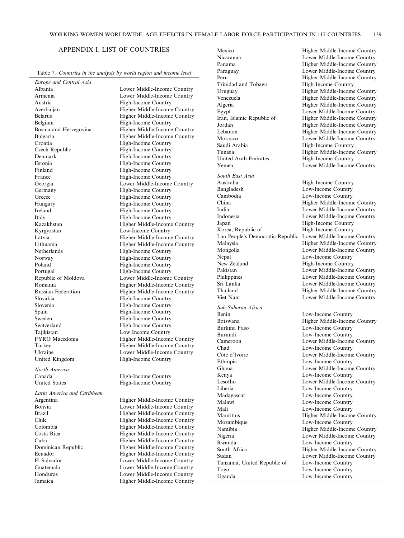#### <span id="page-17-0"></span>APPENDIX I. LIST OF COUNTRIES

| Table 7. Countries in the analysis by world region and income level |  |
|---------------------------------------------------------------------|--|
|---------------------------------------------------------------------|--|

Europe and Central Asia Belgium High-Income Country<br>Bosnia and Herzegovina Higher Middle-Income Croatia High-Income Country Czech Republic High-Income Country<br>
Denmark High-Income Country Estonia High-Income Country Finland High-Income Country France High-Income Country Germany High-Income Country Greece High-Income Country Hungary High-Income Country<br>
High-Income Country<br>
High-Income Country Italy High-Income Country<br>Kazakhstan Higher Middle-Income Kyrgyzstan Low-Income Country Norway High-Income Country Poland High-Income Country Portugal High-Income Country<br>
Republic of Moldova Lower Middle-Income Slovenia High-Income Country Spain High-Income Country Sweden High-Income Country<br>Switzerland High-Income Country Tajikistan Low Income Country<br>FYRO Macedonia Higher Middle-Income United Kingdom High-Income Country North America

Latin America and Caribbean Argentina Higher Middle-Income Country Bolivia Lower Middle-Income Country Chile Higher Middle-Income Country Costa Rica Higher Middle-Income Country Cuba Higher Middle-Income Country Dominican Republic Higher Middle-Income Country El Salvador Lower Middle-Income Country Guatemala Lower Middle-Income Country<br>
Lower Middle-Income Country<br>
Lower Middle-Income Country

Albania Lower Middle-Income Country Armenia Lower Middle-Income Country<br>
Austria High-Income Country High-Income Country Azerbaijan Higher Middle-Income Country Belarus Higher Middle-Income Country Higher Middle-Income Country Bulgaria Higher Middle-Income Country High-Income Country Georgia Lower Middle-Income Country High-Income Country Higher Middle-Income Country Latvia Higher Middle-Income Country Lithuania Higher Middle-Income Country High-Income Country Lower Middle-Income Country Romania Higher Middle-Income Country Russian Federation **Higher Middle-Income Country**<br>
High-Income Country<br>
High-Income Country High-Income Country High-Income Country Higher Middle-Income Country Turkey Higher Middle-Income Country Ukraine Lower Middle-Income Country

Canada High-Income Country<br>
United States<br>
High-Income Country High-Income Country

Higher Middle-Income Country Higher Middle-Income Country Higher Middle-Income Country Lower Middle-Income Country Jamaica Higher Middle-Income Country

Mexico Higher Middle-Income Country South East Asia Australia High-Income Country Cambodia Low-Income Country Japan High-Income Country<br>Korea, Republic of High-Income Country Nepal Low-Income Country New Zealand High-Income Country Sub-Saharan Africa Benin Low-Income Country Burkina Faso Low-Income Country Burundi Low-Income Country Chad Low-Income Country<br>Côte d'Ivoire Lower Middle-Income Ethiopia Low-Income Country Kenya Low-Income Country Liberia Low-Income Country Madagascar Low-Income Country<br>Malawi Low-Income Country Mali Low-Income Country Mozambique Low-Income Country Nigeria Lower Middle-Income Country Rwanda Low-Income Country<br>
South Africa<br>
Higher Middle-Income Sudan Lower Middle-Income Country Tanzania, United Republic of Low-Income Country Togo Low-Income Country Uganda Low-Income Country

Nicaragua Lower Middle-Income Country Panama Higher Middle-Income Country Paraguay Lower Middle-Income Country Peru Higher Middle-Income Country<br>
Trinidad and Tobago High-Income Country High-Income Country Uruguay Higher Middle-Income Country Venezuela Higher Middle-Income Country Algeria Higher Middle-Income Country Egypt Lower Middle-Income Country<br>
Iran, Islamic Republic of Higher Middle-Income Country Higher Middle-Income Country Jordan Higher Middle-Income Country Higher Middle-Income Country Morocco Lower Middle-Income Country High-Income Country Tunisia<br>
Higher Middle-Income Country<br>
High-Income Country<br>
High-Income Country High-Income Country Yemen Lower Middle-Income Country Low-Income Country Higher Middle-Income Country India Lower Middle-Income Country Indonesia Lower Middle-Income Country High-Income Country Lao People's Democratic Republic Lower Middle-Income Country Malaysia Higher Middle-Income Country Mongolia Lower Middle-Income Country Pakistan Lower Middle-Income Country<br>
Philippines Lower Middle-Income Country Philippines Lower Middle-Income Country<br>
Sri Lanka<br>
Lower Middle-Income Country Lower Middle-Income Country Thailand Higher Middle-Income Country Viet Nam Lower Middle-Income Country Botswana Higher Middle-Income Country Cameroon Lower Middle-Income Country Lower Middle-Income Country Ghana Lower Middle-Income Country Lesotho Lower Middle-Income Country Low-Income Country Mauritius Higher Middle-Income Country Namibia Higher Middle-Income Country

Higher Middle-Income Country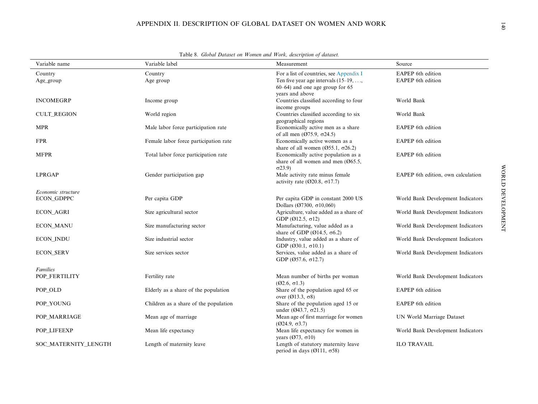#### APPENDIX II. DESCRIPTION OF GLOBAL DATASET ON WOMEN AND WORK

| Variable name        | Variable label                        | Measurement                                                                                                                 | Source                                 |
|----------------------|---------------------------------------|-----------------------------------------------------------------------------------------------------------------------------|----------------------------------------|
| Country<br>Age_group | Country<br>Age group                  | For a list of countries, see Appendix I<br>Ten five year age intervals $(15-19, \ldots,$<br>60–64) and one age group for 65 | EAPEP 6th edition<br>EAPEP 6th edition |
| <b>INCOMEGRP</b>     | Income group                          | vears and above<br>Countries classified according to four<br>income groups                                                  | World Bank                             |
| <b>CULT_REGION</b>   | World region                          | Countries classified according to six<br>geographical regions                                                               | World Bank                             |
| <b>MPR</b>           | Male labor force participation rate   | Economically active men as a share<br>of all men $(Ø75.9, \sigma24.5)$                                                      | <b>EAPEP</b> 6th edition               |
| <b>FPR</b>           | Female labor force participation rate | Economically active women as a<br>share of all women ( $\emptyset$ 55.1, $\sigma$ 26.2)                                     | EAPEP 6th edition                      |
| <b>MFPR</b>          | Total labor force participation rate  | Economically active population as a<br>share of all women and men $(065.5, 100)$<br>$\sigma$ 23.9)                          | EAPEP 6th edition                      |
| <b>LPRGAP</b>        | Gender participation gap              | Male activity rate minus female<br>activity rate ( $\emptyset$ 20.8, $\sigma$ 17.7)                                         | EAPEP 6th edition, own calculation     |
| Economic structure   |                                       |                                                                                                                             |                                        |
| <b>ECON GDPPC</b>    | Per capita GDP                        | Per capita GDP in constant 2000 US<br>Dollars ( $O$ 7300, $\sigma$ 10,060)                                                  | World Bank Development Indicators      |
| <b>ECON AGRI</b>     | Size agricultural sector              | Agriculture, value added as a share of<br>GDP ( $\emptyset$ 12.5, $\sigma$ 12)                                              | World Bank Development Indicators      |
| <b>ECON MANU</b>     | Size manufacturing sector             | Manufacturing, value added as a<br>share of GDP ( $\emptyset$ 14.5, $\sigma$ 6.2)                                           | World Bank Development Indicators      |
| <b>ECON INDU</b>     | Size industrial sector                | Industry, value added as a share of<br>GDP ( $\emptyset$ 30.1, $\sigma$ 10.1)                                               | World Bank Development Indicators      |
| <b>ECON SERV</b>     | Size services sector                  | Services, value added as a share of<br>GDP ( $\emptyset$ 57.6, $\sigma$ 12.7)                                               | World Bank Development Indicators      |
| <b>Families</b>      |                                       |                                                                                                                             |                                        |
| POP_FERTILITY        | Fertility rate                        | Mean number of births per woman<br>$(02.6, \sigma1.3)$                                                                      | World Bank Development Indicators      |
| POP OLD              | Elderly as a share of the population  | Share of the population aged 65 or<br>over $(Ø13.3, \sigma 8)$                                                              | EAPEP 6th edition                      |
| POP YOUNG            | Children as a share of the population | Share of the population aged 15 or<br>under ( $Q$ 43.7, $\sigma$ 21.5)                                                      | EAPEP 6th edition                      |
| POP MARRIAGE         | Mean age of marriage                  | Mean age of first marriage for women<br>$(024.9, \sigma3.7)$                                                                | UN World Marriage Dataset              |
| POP LIFEEXP          | Mean life expectancy                  | Mean life expectancy for women in<br>years ( $\varnothing$ 73, $\sigma$ 10)                                                 | World Bank Development Indicators      |
| SOC MATERNITY LENGTH | Length of maternity leave             | Length of statutory maternity leave<br>period in days ( $\varnothing$ 111, $\sigma$ 58)                                     | <b>ILO TRAVAIL</b>                     |

Table 8. Global Dataset on Women and Work, description of dataset.